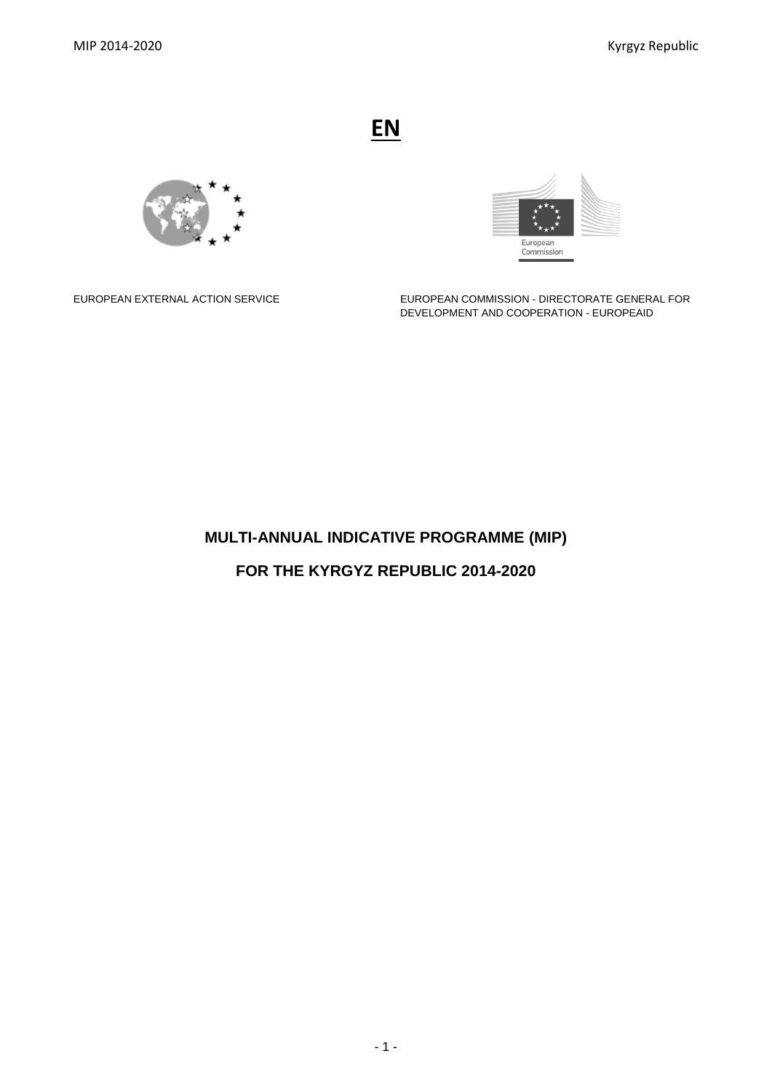**EN**





EUROPEAN EXTERNAL ACTION SERVICE EUROPEAN COMMISSION - DIRECTORATE GENERAL FOR DEVELOPMENT AND COOPERATION - EUROPEAID

# **MULTI-ANNUAL INDICATIVE PROGRAMME (MIP)**

**FOR THE KYRGYZ REPUBLIC 2014-2020**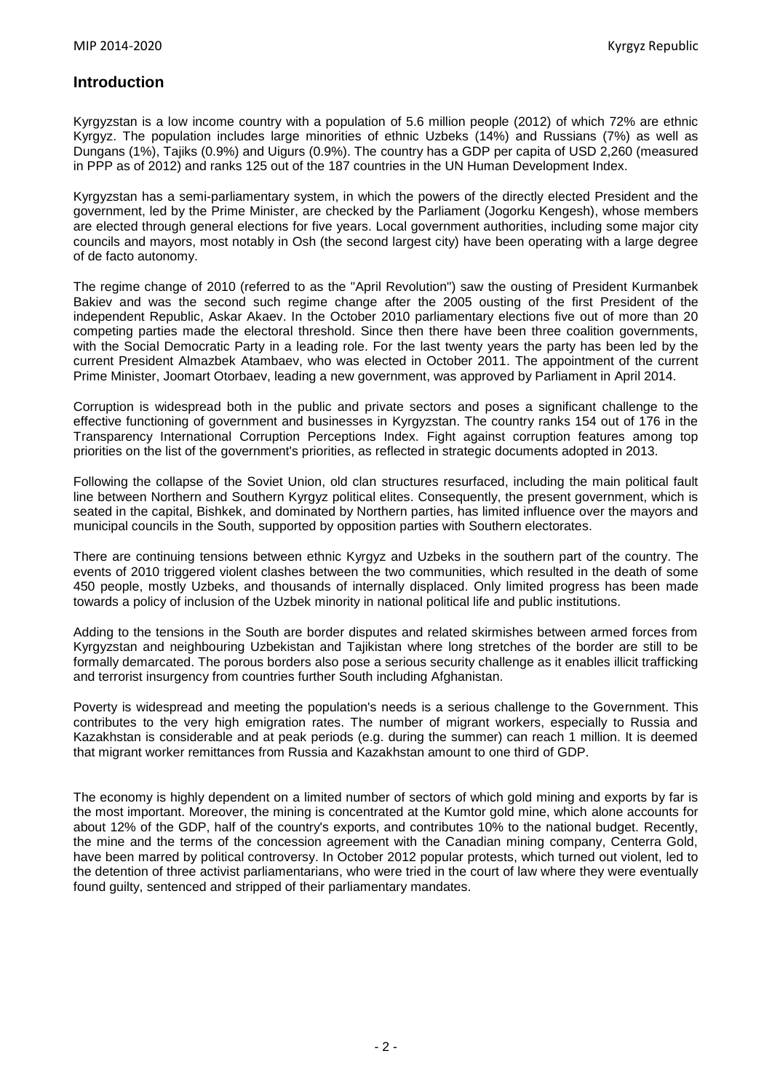# **Introduction**

Kyrgyzstan is a low income country with a population of 5.6 million people (2012) of which 72% are ethnic Kyrgyz. The population includes large minorities of ethnic Uzbeks (14%) and Russians (7%) as well as Dungans (1%), Tajiks (0.9%) and Uigurs (0.9%). The country has a GDP per capita of USD 2,260 (measured in PPP as of 2012) and ranks 125 out of the 187 countries in the UN Human Development Index.

Kyrgyzstan has a semi-parliamentary system, in which the powers of the directly elected President and the government, led by the Prime Minister, are checked by the Parliament (Jogorku Kengesh), whose members are elected through general elections for five years. Local government authorities, including some major city councils and mayors, most notably in Osh (the second largest city) have been operating with a large degree of de facto autonomy.

The regime change of 2010 (referred to as the "April Revolution") saw the ousting of President Kurmanbek Bakiev and was the second such regime change after the 2005 ousting of the first President of the independent Republic, Askar Akaev. In the October 2010 parliamentary elections five out of more than 20 competing parties made the electoral threshold. Since then there have been three coalition governments, with the Social Democratic Party in a leading role. For the last twenty years the party has been led by the current President Almazbek Atambaev, who was elected in October 2011. The appointment of the current Prime Minister, Joomart Otorbaev, leading a new government, was approved by Parliament in April 2014.

Corruption is widespread both in the public and private sectors and poses a significant challenge to the effective functioning of government and businesses in Kyrgyzstan. The country ranks 154 out of 176 in the Transparency International Corruption Perceptions Index. Fight against corruption features among top priorities on the list of the government's priorities, as reflected in strategic documents adopted in 2013.

Following the collapse of the Soviet Union, old clan structures resurfaced, including the main political fault line between Northern and Southern Kyrgyz political elites. Consequently, the present government, which is seated in the capital, Bishkek, and dominated by Northern parties, has limited influence over the mayors and municipal councils in the South, supported by opposition parties with Southern electorates.

There are continuing tensions between ethnic Kyrgyz and Uzbeks in the southern part of the country. The events of 2010 triggered violent clashes between the two communities, which resulted in the death of some 450 people, mostly Uzbeks, and thousands of internally displaced. Only limited progress has been made towards a policy of inclusion of the Uzbek minority in national political life and public institutions.

Adding to the tensions in the South are border disputes and related skirmishes between armed forces from Kyrgyzstan and neighbouring Uzbekistan and Tajikistan where long stretches of the border are still to be formally demarcated. The porous borders also pose a serious security challenge as it enables illicit trafficking and terrorist insurgency from countries further South including Afghanistan.

Poverty is widespread and meeting the population's needs is a serious challenge to the Government. This contributes to the very high emigration rates. The number of migrant workers, especially to Russia and Kazakhstan is considerable and at peak periods (e.g. during the summer) can reach 1 million. It is deemed that migrant worker remittances from Russia and Kazakhstan amount to one third of GDP.

The economy is highly dependent on a limited number of sectors of which gold mining and exports by far is the most important. Moreover, the mining is concentrated at the Kumtor gold mine, which alone accounts for about 12% of the GDP, half of the country's exports, and contributes 10% to the national budget. Recently, the mine and the terms of the concession agreement with the Canadian mining company, Centerra Gold, have been marred by political controversy. In October 2012 popular protests, which turned out violent, led to the detention of three activist parliamentarians, who were tried in the court of law where they were eventually found guilty, sentenced and stripped of their parliamentary mandates.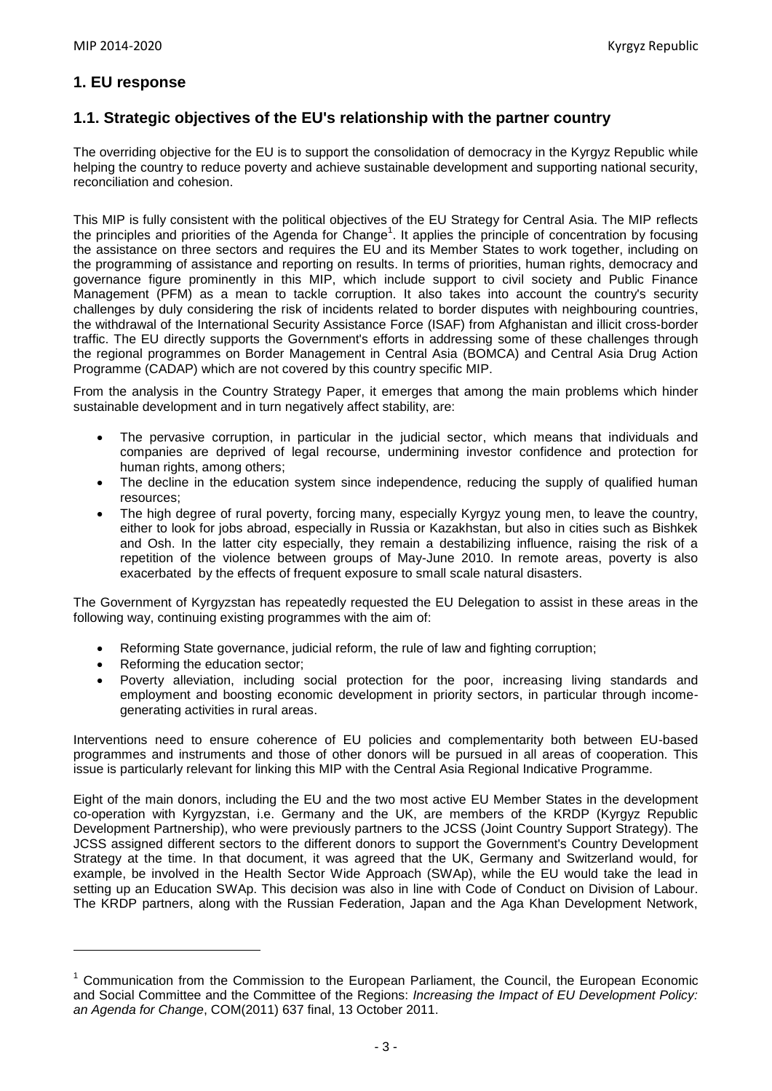# **1. EU response**

# **1.1. Strategic objectives of the EU's relationship with the partner country**

The overriding objective for the EU is to support the consolidation of democracy in the Kyrgyz Republic while helping the country to reduce poverty and achieve sustainable development and supporting national security, reconciliation and cohesion.

This MIP is fully consistent with the political objectives of the EU Strategy for Central Asia. The MIP reflects the principles and priorities of the Agenda for Change<sup>1</sup>. It applies the principle of concentration by focusing the assistance on three sectors and requires the EU and its Member States to work together, including on the programming of assistance and reporting on results. In terms of priorities, human rights, democracy and governance figure prominently in this MIP, which include support to civil society and Public Finance Management (PFM) as a mean to tackle corruption. It also takes into account the country's security challenges by duly considering the risk of incidents related to border disputes with neighbouring countries, the withdrawal of the International Security Assistance Force (ISAF) from Afghanistan and illicit cross-border traffic. The EU directly supports the Government's efforts in addressing some of these challenges through the regional programmes on Border Management in Central Asia (BOMCA) and Central Asia Drug Action Programme (CADAP) which are not covered by this country specific MIP.

From the analysis in the Country Strategy Paper, it emerges that among the main problems which hinder sustainable development and in turn negatively affect stability, are:

- The pervasive corruption, in particular in the judicial sector, which means that individuals and companies are deprived of legal recourse, undermining investor confidence and protection for human rights, among others;
- The decline in the education system since independence, reducing the supply of qualified human resources;
- The high degree of rural poverty, forcing many, especially Kyrgyz young men, to leave the country, either to look for jobs abroad, especially in Russia or Kazakhstan, but also in cities such as Bishkek and Osh. In the latter city especially, they remain a destabilizing influence, raising the risk of a repetition of the violence between groups of May-June 2010. In remote areas, poverty is also exacerbated by the effects of frequent exposure to small scale natural disasters.

The Government of Kyrgyzstan has repeatedly requested the EU Delegation to assist in these areas in the following way, continuing existing programmes with the aim of:

- Reforming State governance, judicial reform, the rule of law and fighting corruption;
- Reforming the education sector:

 $\overline{\phantom{a}}$ 

 Poverty alleviation, including social protection for the poor, increasing living standards and employment and boosting economic development in priority sectors, in particular through incomegenerating activities in rural areas.

Interventions need to ensure coherence of EU policies and complementarity both between EU-based programmes and instruments and those of other donors will be pursued in all areas of cooperation. This issue is particularly relevant for linking this MIP with the Central Asia Regional Indicative Programme.

Eight of the main donors, including the EU and the two most active EU Member States in the development co-operation with Kyrgyzstan, i.e. Germany and the UK, are members of the KRDP (Kyrgyz Republic Development Partnership), who were previously partners to the JCSS (Joint Country Support Strategy). The JCSS assigned different sectors to the different donors to support the Government's Country Development Strategy at the time. In that document, it was agreed that the UK, Germany and Switzerland would, for example, be involved in the Health Sector Wide Approach (SWAp), while the EU would take the lead in setting up an Education SWAp. This decision was also in line with Code of Conduct on Division of Labour. The KRDP partners, along with the Russian Federation, Japan and the Aga Khan Development Network,

 $<sup>1</sup>$  Communication from the Commission to the European Parliament, the Council, the European Economic</sup> and Social Committee and the Committee of the Regions: *Increasing the Impact of EU Development Policy: an Agenda for Change*, COM(2011) 637 final, 13 October 2011.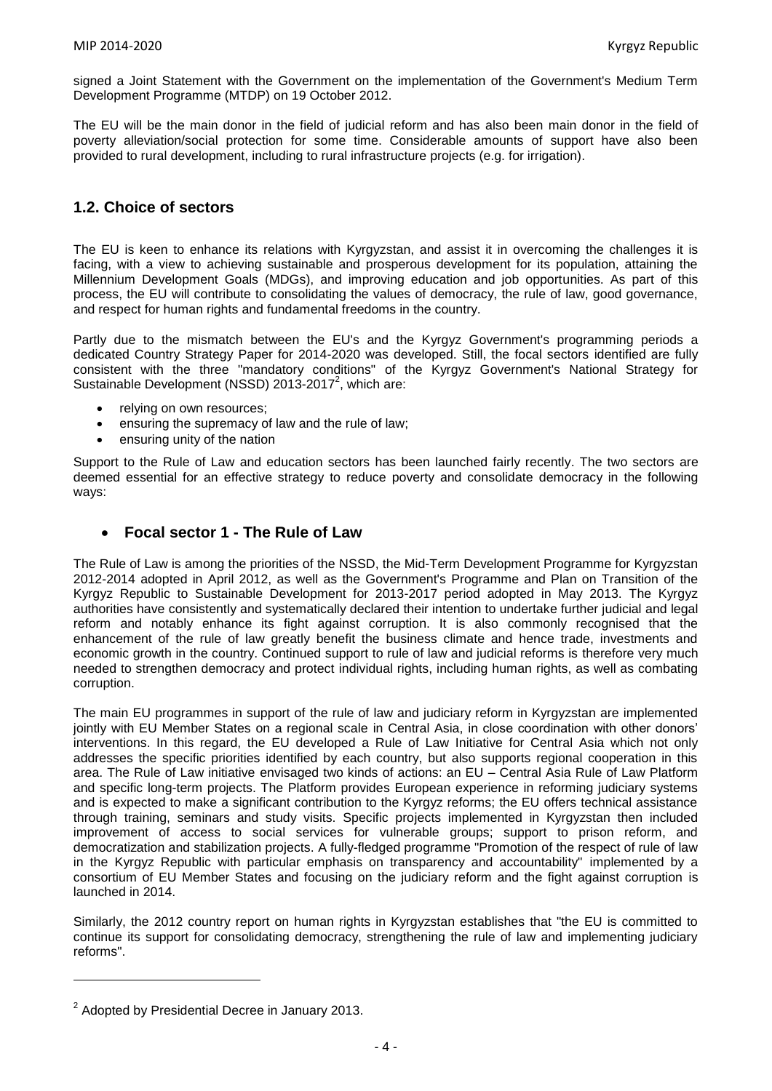signed a Joint Statement with the Government on the implementation of the Government's Medium Term Development Programme (MTDP) on 19 October 2012.

The EU will be the main donor in the field of judicial reform and has also been main donor in the field of poverty alleviation/social protection for some time. Considerable amounts of support have also been provided to rural development, including to rural infrastructure projects (e.g. for irrigation).

# **1.2. Choice of sectors**

The EU is keen to enhance its relations with Kyrgyzstan, and assist it in overcoming the challenges it is facing, with a view to achieving sustainable and prosperous development for its population, attaining the Millennium Development Goals (MDGs), and improving education and job opportunities. As part of this process, the EU will contribute to consolidating the values of democracy, the rule of law, good governance, and respect for human rights and fundamental freedoms in the country.

Partly due to the mismatch between the EU's and the Kyrgyz Government's programming periods a dedicated Country Strategy Paper for 2014-2020 was developed. Still, the focal sectors identified are fully consistent with the three "mandatory conditions" of the Kyrgyz Government's National Strategy for Sustainable Development (NSSD) 2013-2017<sup>2</sup>, which are:

- relying on own resources;
- ensuring the supremacy of law and the rule of law;
- ensuring unity of the nation

Support to the Rule of Law and education sectors has been launched fairly recently. The two sectors are deemed essential for an effective strategy to reduce poverty and consolidate democracy in the following ways:

### **Focal sector 1 - The Rule of Law**

The Rule of Law is among the priorities of the NSSD, the Mid-Term Development Programme for Kyrgyzstan 2012-2014 adopted in April 2012, as well as the Government's Programme and Plan on Transition of the Kyrgyz Republic to Sustainable Development for 2013-2017 period adopted in May 2013. The Kyrgyz authorities have consistently and systematically declared their intention to undertake further judicial and legal reform and notably enhance its fight against corruption. It is also commonly recognised that the enhancement of the rule of law greatly benefit the business climate and hence trade, investments and economic growth in the country. Continued support to rule of law and judicial reforms is therefore very much needed to strengthen democracy and protect individual rights, including human rights, as well as combating corruption.

The main EU programmes in support of the rule of law and judiciary reform in Kyrgyzstan are implemented jointly with EU Member States on a regional scale in Central Asia, in close coordination with other donors' interventions. In this regard, the EU developed a Rule of Law Initiative for Central Asia which not only addresses the specific priorities identified by each country, but also supports regional cooperation in this area. The Rule of Law initiative envisaged two kinds of actions: an EU – Central Asia Rule of Law Platform and specific long-term projects. The Platform provides European experience in reforming judiciary systems and is expected to make a significant contribution to the Kyrgyz reforms; the EU offers technical assistance through training, seminars and study visits. Specific projects implemented in Kyrgyzstan then included improvement of access to social services for vulnerable groups; support to prison reform, and democratization and stabilization projects. A fully-fledged programme "Promotion of the respect of rule of law in the Kyrgyz Republic with particular emphasis on transparency and accountability" implemented by a consortium of EU Member States and focusing on the judiciary reform and the fight against corruption is launched in 2014.

Similarly, the 2012 country report on human rights in Kyrgyzstan establishes that "the EU is committed to continue its support for consolidating democracy, strengthening the rule of law and implementing judiciary reforms".

**.** 

 $2$  Adopted by Presidential Decree in January 2013.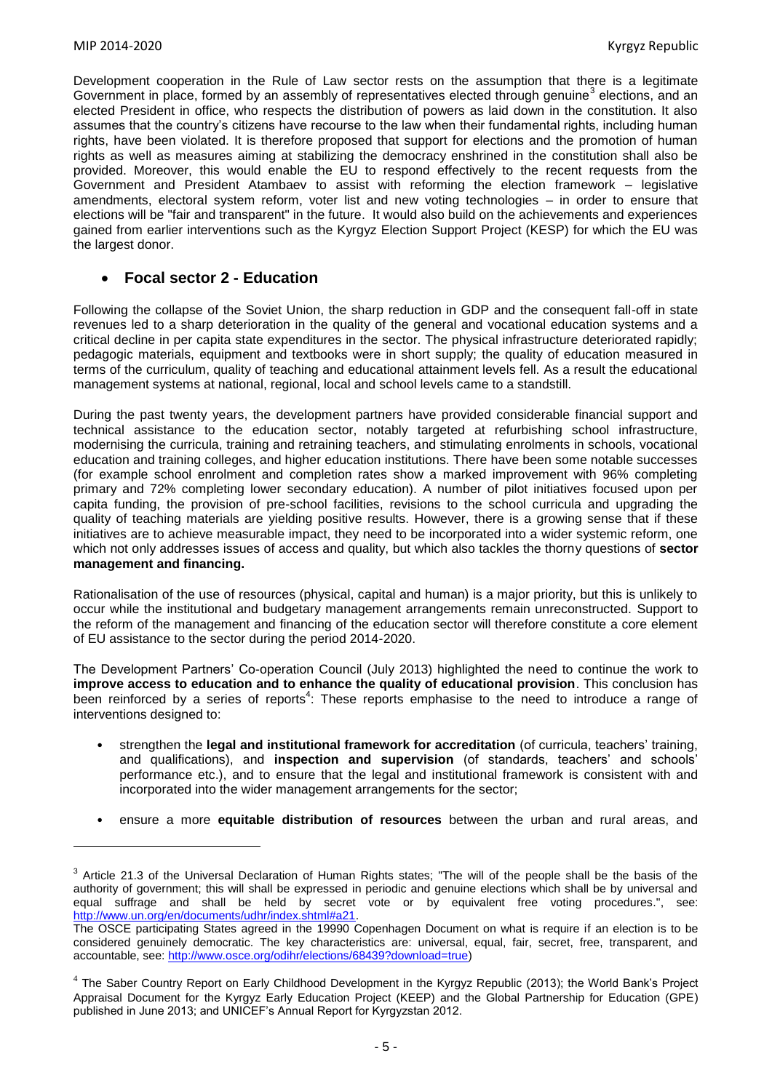**.** 

Development cooperation in the Rule of Law sector rests on the assumption that there is a legitimate Government in place, formed by an assembly of representatives elected through genuine<sup>3</sup> elections, and an elected President in office, who respects the distribution of powers as laid down in the constitution. It also assumes that the country's citizens have recourse to the law when their fundamental rights, including human rights, have been violated. It is therefore proposed that support for elections and the promotion of human rights as well as measures aiming at stabilizing the democracy enshrined in the constitution shall also be provided. Moreover, this would enable the EU to respond effectively to the recent requests from the Government and President Atambaev to assist with reforming the election framework – legislative amendments, electoral system reform, voter list and new voting technologies – in order to ensure that elections will be "fair and transparent" in the future. It would also build on the achievements and experiences gained from earlier interventions such as the Kyrgyz Election Support Project (KESP) for which the EU was the largest donor.

### **Focal sector 2 - Education**

Following the collapse of the Soviet Union, the sharp reduction in GDP and the consequent fall-off in state revenues led to a sharp deterioration in the quality of the general and vocational education systems and a critical decline in per capita state expenditures in the sector. The physical infrastructure deteriorated rapidly; pedagogic materials, equipment and textbooks were in short supply; the quality of education measured in terms of the curriculum, quality of teaching and educational attainment levels fell. As a result the educational management systems at national, regional, local and school levels came to a standstill.

During the past twenty years, the development partners have provided considerable financial support and technical assistance to the education sector, notably targeted at refurbishing school infrastructure, modernising the curricula, training and retraining teachers, and stimulating enrolments in schools, vocational education and training colleges, and higher education institutions. There have been some notable successes (for example school enrolment and completion rates show a marked improvement with 96% completing primary and 72% completing lower secondary education). A number of pilot initiatives focused upon per capita funding, the provision of pre-school facilities, revisions to the school curricula and upgrading the quality of teaching materials are yielding positive results. However, there is a growing sense that if these initiatives are to achieve measurable impact, they need to be incorporated into a wider systemic reform, one which not only addresses issues of access and quality, but which also tackles the thorny questions of **sector management and financing.**

Rationalisation of the use of resources (physical, capital and human) is a major priority, but this is unlikely to occur while the institutional and budgetary management arrangements remain unreconstructed. Support to the reform of the management and financing of the education sector will therefore constitute a core element of EU assistance to the sector during the period 2014-2020.

The Development Partners' Co-operation Council (July 2013) highlighted the need to continue the work to **improve access to education and to enhance the quality of educational provision**. This conclusion has been reinforced by a series of reports<sup>4</sup>. These reports emphasise to the need to introduce a range of interventions designed to:

- strengthen the **legal and institutional framework for accreditation** (of curricula, teachers' training, and qualifications), and **inspection and supervision** (of standards, teachers' and schools' performance etc.), and to ensure that the legal and institutional framework is consistent with and incorporated into the wider management arrangements for the sector;
- ensure a more **equitable distribution of resources** between the urban and rural areas, and

 $3$  Article 21.3 of the Universal Declaration of Human Rights states; "The will of the people shall be the basis of the authority of government; this will shall be expressed in periodic and genuine elections which shall be by universal and equal suffrage and shall be held by secret vote or by equivalent free voting procedures.", see: [http://www.un.org/en/documents/udhr/index.shtml#a21.](http://www.un.org/en/documents/udhr/index.shtml#a21)

The OSCE participating States agreed in the 19990 Copenhagen Document on what is require if an election is to be considered genuinely democratic. The key characteristics are: universal, equal, fair, secret, free, transparent, and accountable, see: [http://www.osce.org/odihr/elections/68439?download=true\)](http://www.osce.org/odihr/elections/68439?download=true)

<sup>&</sup>lt;sup>4</sup> The Saber Country Report on Early Childhood Development in the Kyrgyz Republic (2013); the World Bank's Project Appraisal Document for the Kyrgyz Early Education Project (KEEP) and the Global Partnership for Education (GPE) published in June 2013; and UNICEF's Annual Report for Kyrgyzstan 2012.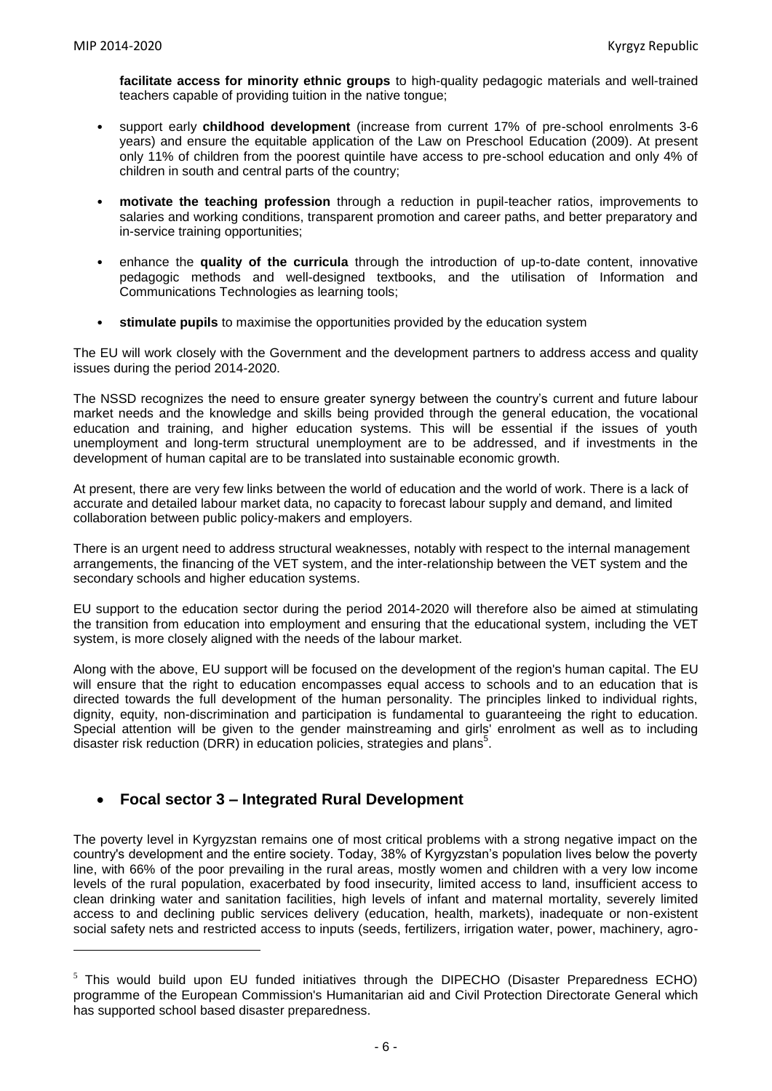1

**facilitate access for minority ethnic groups** to high-quality pedagogic materials and well-trained teachers capable of providing tuition in the native tongue;

- support early **childhood development** (increase from current 17% of pre-school enrolments 3-6 years) and ensure the equitable application of the Law on Preschool Education (2009). At present only 11% of children from the poorest quintile have access to pre-school education and only 4% of children in south and central parts of the country;
- **motivate the teaching profession** through a reduction in pupil-teacher ratios, improvements to salaries and working conditions, transparent promotion and career paths, and better preparatory and in-service training opportunities;
- enhance the **quality of the curricula** through the introduction of up-to-date content, innovative pedagogic methods and well-designed textbooks, and the utilisation of Information and Communications Technologies as learning tools;
- **stimulate pupils** to maximise the opportunities provided by the education system

The EU will work closely with the Government and the development partners to address access and quality issues during the period 2014-2020.

The NSSD recognizes the need to ensure greater synergy between the country's current and future labour market needs and the knowledge and skills being provided through the general education, the vocational education and training, and higher education systems. This will be essential if the issues of youth unemployment and long-term structural unemployment are to be addressed, and if investments in the development of human capital are to be translated into sustainable economic growth.

At present, there are very few links between the world of education and the world of work. There is a lack of accurate and detailed labour market data, no capacity to forecast labour supply and demand, and limited collaboration between public policy-makers and employers.

There is an urgent need to address structural weaknesses, notably with respect to the internal management arrangements, the financing of the VET system, and the inter-relationship between the VET system and the secondary schools and higher education systems.

EU support to the education sector during the period 2014-2020 will therefore also be aimed at stimulating the transition from education into employment and ensuring that the educational system, including the VET system, is more closely aligned with the needs of the labour market.

Along with the above, EU support will be focused on the development of the region's human capital. The EU will ensure that the right to education encompasses equal access to schools and to an education that is directed towards the full development of the human personality. The principles linked to individual rights, dignity, equity, non-discrimination and participation is fundamental to guaranteeing the right to education. Special attention will be given to the gender mainstreaming and girls' enrolment as well as to including disaster risk reduction (DRR) in education policies, strategies and plans<sup>5</sup>.

# **Focal sector 3 – Integrated Rural Development**

The poverty level in Kyrgyzstan remains one of most critical problems with a strong negative impact on the country's development and the entire society. Today, 38% of Kyrgyzstan's population lives below the poverty line, with 66% of the poor prevailing in the rural areas, mostly women and children with a very low income levels of the rural population, exacerbated by food insecurity, limited access to land, insufficient access to clean drinking water and sanitation facilities, high levels of infant and maternal mortality, severely limited access to and declining public services delivery (education, health, markets), inadequate or non-existent social safety nets and restricted access to inputs (seeds, fertilizers, irrigation water, power, machinery, agro-

 $5$  This would build upon EU funded initiatives through the DIPECHO (Disaster Preparedness ECHO) programme of the European Commission's Humanitarian aid and Civil Protection Directorate General which has supported school based disaster preparedness.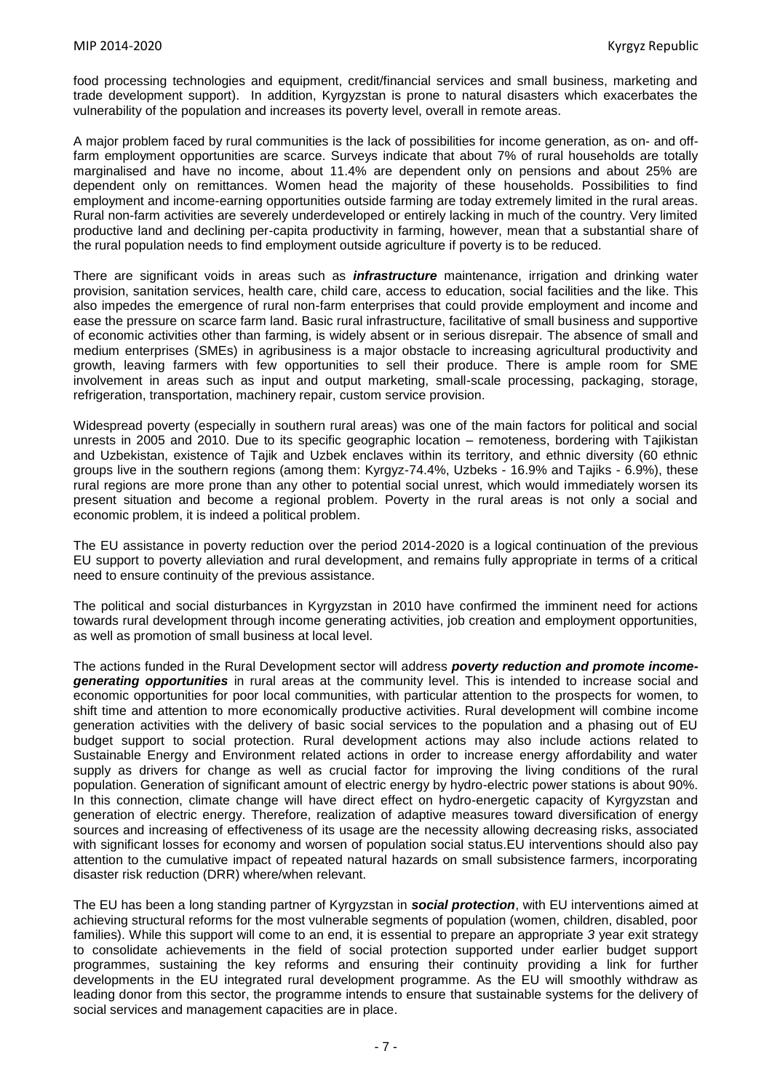food processing technologies and equipment, credit/financial services and small business, marketing and trade development support). In addition, Kyrgyzstan is prone to natural disasters which exacerbates the vulnerability of the population and increases its poverty level, overall in remote areas.

A major problem faced by rural communities is the lack of possibilities for income generation, as on- and offfarm employment opportunities are scarce. Surveys indicate that about 7% of rural households are totally marginalised and have no income, about 11.4% are dependent only on pensions and about 25% are dependent only on remittances. Women head the majority of these households. Possibilities to find employment and income-earning opportunities outside farming are today extremely limited in the rural areas. Rural non-farm activities are severely underdeveloped or entirely lacking in much of the country. Very limited productive land and declining per-capita productivity in farming, however, mean that a substantial share of the rural population needs to find employment outside agriculture if poverty is to be reduced.

There are significant voids in areas such as *infrastructure* maintenance, irrigation and drinking water provision, sanitation services, health care, child care, access to education, social facilities and the like. This also impedes the emergence of rural non-farm enterprises that could provide employment and income and ease the pressure on scarce farm land. Basic rural infrastructure, facilitative of small business and supportive of economic activities other than farming, is widely absent or in serious disrepair. The absence of small and medium enterprises (SMEs) in agribusiness is a major obstacle to increasing agricultural productivity and growth, leaving farmers with few opportunities to sell their produce. There is ample room for SME involvement in areas such as input and output marketing, small-scale processing, packaging, storage, refrigeration, transportation, machinery repair, custom service provision.

Widespread poverty (especially in southern rural areas) was one of the main factors for political and social unrests in 2005 and 2010. Due to its specific geographic location – remoteness, bordering with Tajikistan and Uzbekistan, existence of Tajik and Uzbek enclaves within its territory, and ethnic diversity (60 ethnic groups live in the southern regions (among them: Kyrgyz-74.4%, Uzbeks - 16.9% and Tajiks - 6.9%), these rural regions are more prone than any other to potential social unrest, which would immediately worsen its present situation and become a regional problem. Poverty in the rural areas is not only a social and economic problem, it is indeed a political problem.

The EU assistance in poverty reduction over the period 2014-2020 is a logical continuation of the previous EU support to poverty alleviation and rural development, and remains fully appropriate in terms of a critical need to ensure continuity of the previous assistance.

The political and social disturbances in Kyrgyzstan in 2010 have confirmed the imminent need for actions towards rural development through income generating activities, job creation and employment opportunities, as well as promotion of small business at local level.

The actions funded in the Rural Development sector will address *poverty reduction and promote incomegenerating opportunities* in rural areas at the community level. This is intended to increase social and economic opportunities for poor local communities, with particular attention to the prospects for women, to shift time and attention to more economically productive activities. Rural development will combine income generation activities with the delivery of basic social services to the population and a phasing out of EU budget support to social protection. Rural development actions may also include actions related to Sustainable Energy and Environment related actions in order to increase energy affordability and water supply as drivers for change as well as crucial factor for improving the living conditions of the rural population. Generation of significant amount of electric energy by hydro-electric power stations is about 90%. In this connection, climate change will have direct effect on hydro-energetic capacity of Kyrgyzstan and generation of electric energy. Therefore, realization of adaptive measures toward diversification of energy sources and increasing of effectiveness of its usage are the necessity allowing decreasing risks, associated with significant losses for economy and worsen of population social status. EU interventions should also pay attention to the cumulative impact of repeated natural hazards on small subsistence farmers, incorporating disaster risk reduction (DRR) where/when relevant.

The EU has been a long standing partner of Kyrgyzstan in *social protection*, with EU interventions aimed at achieving structural reforms for the most vulnerable segments of population (women, children, disabled, poor families). While this support will come to an end, it is essential to prepare an appropriate *3* year exit strategy to consolidate achievements in the field of social protection supported under earlier budget support programmes, sustaining the key reforms and ensuring their continuity providing a link for further developments in the EU integrated rural development programme. As the EU will smoothly withdraw as leading donor from this sector, the programme intends to ensure that sustainable systems for the delivery of social services and management capacities are in place.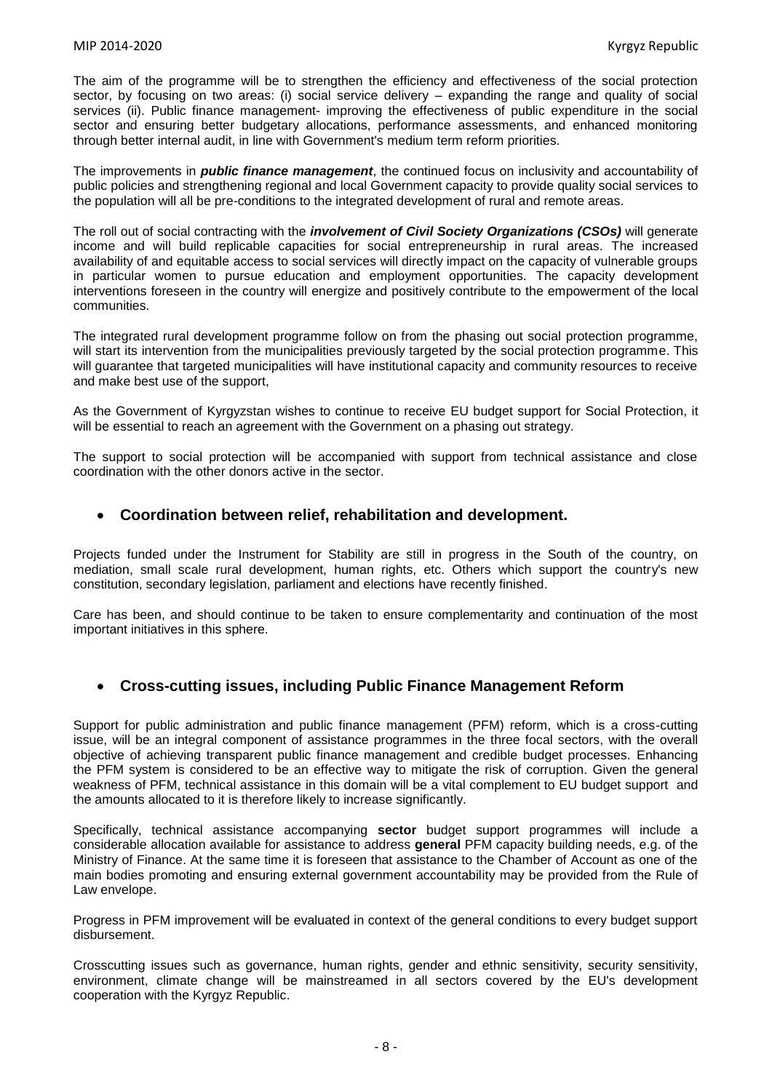The aim of the programme will be to strengthen the efficiency and effectiveness of the social protection sector, by focusing on two areas: (i) social service delivery – expanding the range and quality of social services (ii). Public finance management- improving the effectiveness of public expenditure in the social sector and ensuring better budgetary allocations, performance assessments, and enhanced monitoring through better internal audit, in line with Government's medium term reform priorities.

The improvements in *public finance management*, the continued focus on inclusivity and accountability of public policies and strengthening regional and local Government capacity to provide quality social services to the population will all be pre-conditions to the integrated development of rural and remote areas.

The roll out of social contracting with the *involvement of Civil Society Organizations (CSOs)* will generate income and will build replicable capacities for social entrepreneurship in rural areas. The increased availability of and equitable access to social services will directly impact on the capacity of vulnerable groups in particular women to pursue education and employment opportunities. The capacity development interventions foreseen in the country will energize and positively contribute to the empowerment of the local communities.

The integrated rural development programme follow on from the phasing out social protection programme, will start its intervention from the municipalities previously targeted by the social protection programme. This will guarantee that targeted municipalities will have institutional capacity and community resources to receive and make best use of the support,

As the Government of Kyrgyzstan wishes to continue to receive EU budget support for Social Protection, it will be essential to reach an agreement with the Government on a phasing out strategy.

The support to social protection will be accompanied with support from technical assistance and close coordination with the other donors active in the sector.

### **Coordination between relief, rehabilitation and development.**

Projects funded under the Instrument for Stability are still in progress in the South of the country, on mediation, small scale rural development, human rights, etc. Others which support the country's new constitution, secondary legislation, parliament and elections have recently finished.

Care has been, and should continue to be taken to ensure complementarity and continuation of the most important initiatives in this sphere.

### **Cross-cutting issues, including Public Finance Management Reform**

Support for public administration and public finance management (PFM) reform, which is a cross-cutting issue, will be an integral component of assistance programmes in the three focal sectors, with the overall objective of achieving transparent public finance management and credible budget processes. Enhancing the PFM system is considered to be an effective way to mitigate the risk of corruption. Given the general weakness of PFM, technical assistance in this domain will be a vital complement to EU budget support and the amounts allocated to it is therefore likely to increase significantly.

Specifically, technical assistance accompanying **sector** budget support programmes will include a considerable allocation available for assistance to address **general** PFM capacity building needs, e.g. of the Ministry of Finance. At the same time it is foreseen that assistance to the Chamber of Account as one of the main bodies promoting and ensuring external government accountability may be provided from the Rule of Law envelope.

Progress in PFM improvement will be evaluated in context of the general conditions to every budget support disbursement.

Crosscutting issues such as governance, human rights, gender and ethnic sensitivity, security sensitivity, environment, climate change will be mainstreamed in all sectors covered by the EU's development cooperation with the Kyrgyz Republic.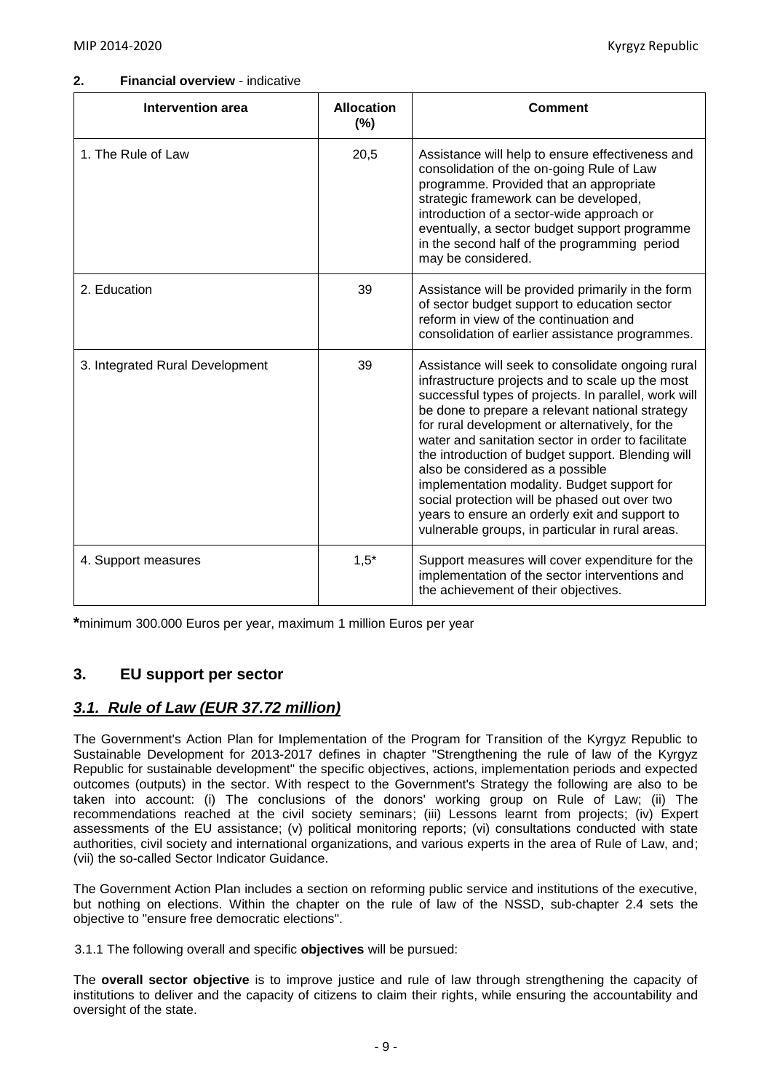#### **2. Financial overview** - indicative

| <b>Intervention area</b>        | <b>Allocation</b><br>$(\% )$ | Comment                                                                                                                                                                                                                                                                                                                                                                                                                                                                                                                                                                                                                  |
|---------------------------------|------------------------------|--------------------------------------------------------------------------------------------------------------------------------------------------------------------------------------------------------------------------------------------------------------------------------------------------------------------------------------------------------------------------------------------------------------------------------------------------------------------------------------------------------------------------------------------------------------------------------------------------------------------------|
| 1. The Rule of Law              | 20,5                         | Assistance will help to ensure effectiveness and<br>consolidation of the on-going Rule of Law<br>programme. Provided that an appropriate<br>strategic framework can be developed,<br>introduction of a sector-wide approach or<br>eventually, a sector budget support programme<br>in the second half of the programming period<br>may be considered.                                                                                                                                                                                                                                                                    |
| 2. Education                    | 39                           | Assistance will be provided primarily in the form<br>of sector budget support to education sector<br>reform in view of the continuation and<br>consolidation of earlier assistance programmes.                                                                                                                                                                                                                                                                                                                                                                                                                           |
| 3. Integrated Rural Development | 39                           | Assistance will seek to consolidate ongoing rural<br>infrastructure projects and to scale up the most<br>successful types of projects. In parallel, work will<br>be done to prepare a relevant national strategy<br>for rural development or alternatively, for the<br>water and sanitation sector in order to facilitate<br>the introduction of budget support. Blending will<br>also be considered as a possible<br>implementation modality. Budget support for<br>social protection will be phased out over two<br>years to ensure an orderly exit and support to<br>vulnerable groups, in particular in rural areas. |
| 4. Support measures             | $1,5*$                       | Support measures will cover expenditure for the<br>implementation of the sector interventions and<br>the achievement of their objectives.                                                                                                                                                                                                                                                                                                                                                                                                                                                                                |

**\***minimum 300.000 Euros per year, maximum 1 million Euros per year

# **3. EU support per sector**

# *3.1. Rule of Law (EUR 37.72 million)*

The Government's Action Plan for Implementation of the Program for Transition of the Kyrgyz Republic to Sustainable Development for 2013-2017 defines in chapter "Strengthening the rule of law of the Kyrgyz Republic for sustainable development" the specific objectives, actions, implementation periods and expected outcomes (outputs) in the sector. With respect to the Government's Strategy the following are also to be taken into account: (i) The conclusions of the donors' working group on Rule of Law; (ii) The recommendations reached at the civil society seminars; (iii) Lessons learnt from projects; (iv) Expert assessments of the EU assistance; (v) political monitoring reports; (vi) consultations conducted with state authorities, civil society and international organizations, and various experts in the area of Rule of Law, and; (vii) the so-called Sector Indicator Guidance.

The Government Action Plan includes a section on reforming public service and institutions of the executive, but nothing on elections. Within the chapter on the rule of law of the NSSD, sub-chapter 2.4 sets the objective to "ensure free democratic elections".

3.1.1 The following overall and specific **objectives** will be pursued:

The **overall sector objective** is to improve justice and rule of law through strengthening the capacity of institutions to deliver and the capacity of citizens to claim their rights, while ensuring the accountability and oversight of the state.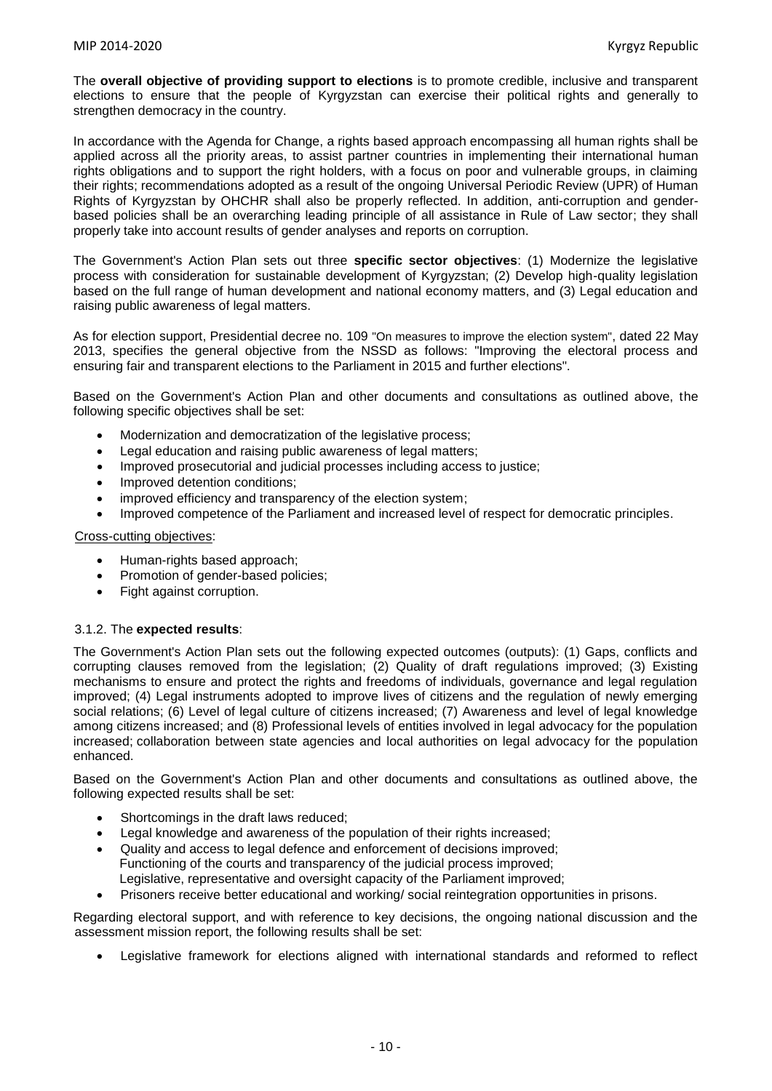The **overall objective of providing support to elections** is to promote credible, inclusive and transparent elections to ensure that the people of Kyrgyzstan can exercise their political rights and generally to strengthen democracy in the country.

In accordance with the Agenda for Change, a rights based approach encompassing all human rights shall be applied across all the priority areas, to assist partner countries in implementing their international human rights obligations and to support the right holders, with a focus on poor and vulnerable groups, in claiming their rights; recommendations adopted as a result of the ongoing Universal Periodic Review (UPR) of Human Rights of Kyrgyzstan by OHCHR shall also be properly reflected. In addition, anti-corruption and genderbased policies shall be an overarching leading principle of all assistance in Rule of Law sector; they shall properly take into account results of gender analyses and reports on corruption.

The Government's Action Plan sets out three **specific sector objectives**: (1) Modernize the legislative process with consideration for sustainable development of Kyrgyzstan; (2) Develop high-quality legislation based on the full range of human development and national economy matters, and (3) Legal education and raising public awareness of legal matters.

As for election support, Presidential decree no. 109 "On measures to improve the election system", dated 22 May 2013, specifies the general objective from the NSSD as follows: "Improving the electoral process and ensuring fair and transparent elections to the Parliament in 2015 and further elections".

Based on the Government's Action Plan and other documents and consultations as outlined above, the following specific objectives shall be set:

- Modernization and democratization of the legislative process:
- Legal education and raising public awareness of legal matters:
- Improved prosecutorial and judicial processes including access to justice;
- Improved detention conditions;
- improved efficiency and transparency of the election system;
- Improved competence of the Parliament and increased level of respect for democratic principles.

Cross-cutting objectives:

- Human-rights based approach;
- Promotion of gender-based policies;
- Fight against corruption.

#### 3.1.2. The **expected results**:

The Government's Action Plan sets out the following expected outcomes (outputs): (1) Gaps, conflicts and corrupting clauses removed from the legislation; (2) Quality of draft regulations improved; (3) Existing mechanisms to ensure and protect the rights and freedoms of individuals, governance and legal regulation improved; (4) Legal instruments adopted to improve lives of citizens and the regulation of newly emerging social relations; (6) Level of legal culture of citizens increased; (7) Awareness and level of legal knowledge among citizens increased; and (8) Professional levels of entities involved in legal advocacy for the population increased; collaboration between state agencies and local authorities on legal advocacy for the population enhanced.

Based on the Government's Action Plan and other documents and consultations as outlined above, the following expected results shall be set:

- Shortcomings in the draft laws reduced;
- Legal knowledge and awareness of the population of their rights increased;
- Quality and access to legal defence and enforcement of decisions improved; Functioning of the courts and transparency of the judicial process improved; Legislative, representative and oversight capacity of the Parliament improved;
- Prisoners receive better educational and working/ social reintegration opportunities in prisons.

Regarding electoral support, and with reference to key decisions, the ongoing national discussion and the assessment mission report, the following results shall be set:

Legislative framework for elections aligned with international standards and reformed to reflect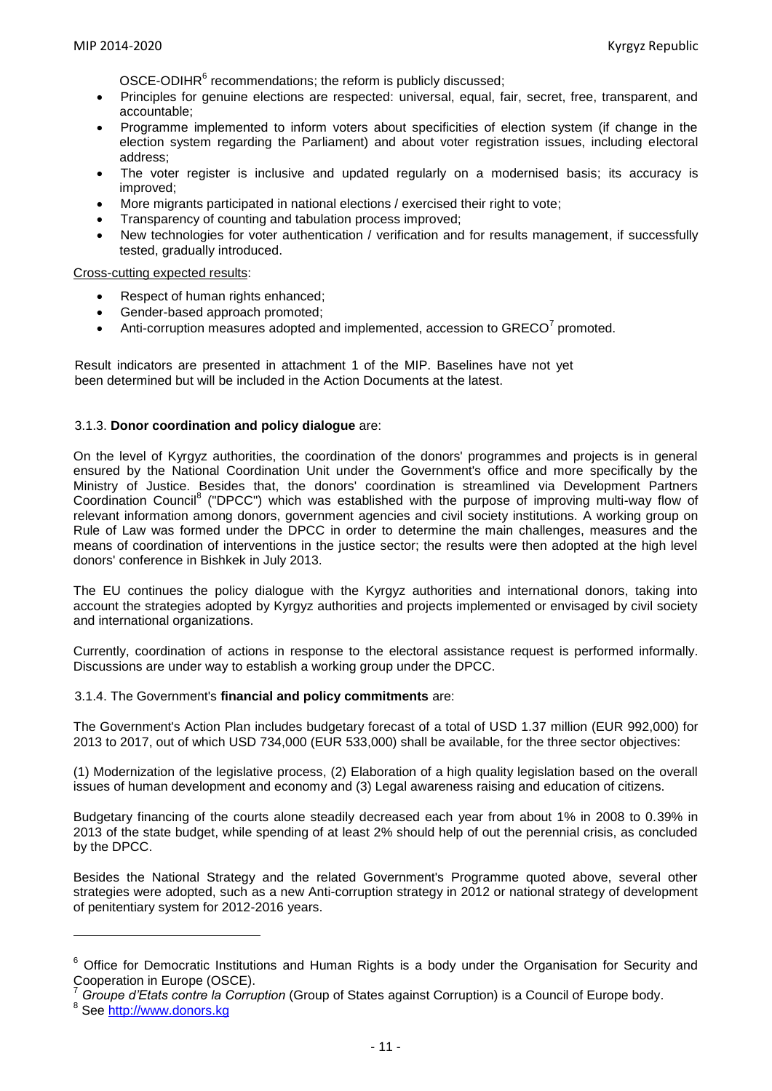OSCE-ODIHR<sup>6</sup> recommendations; the reform is publicly discussed;

- Principles for genuine elections are respected: universal, equal, fair, secret, free, transparent, and accountable;
- Programme implemented to inform voters about specificities of election system (if change in the election system regarding the Parliament) and about voter registration issues, including electoral address;
- The voter register is inclusive and updated regularly on a modernised basis; its accuracy is improved;
- More migrants participated in national elections / exercised their right to vote;
- Transparency of counting and tabulation process improved;
- New technologies for voter authentication / verification and for results management, if successfully tested, gradually introduced.

#### Cross-cutting expected results:

- Respect of human rights enhanced;
- Gender-based approach promoted;
- Anti-corruption measures adopted and implemented, accession to  $GREG<sup>7</sup>$  promoted.

Result indicators are presented in attachment 1 of the MIP. Baselines have not yet been determined but will be included in the Action Documents at the latest.

#### 3.1.3. **Donor coordination and policy dialogue** are:

On the level of Kyrgyz authorities, the coordination of the donors' programmes and projects is in general ensured by the National Coordination Unit under the Government's office and more specifically by the Ministry of Justice. Besides that, the donors' coordination is streamlined via Development Partners Coordination Council<sup>8</sup> ("DPCC") which was established with the purpose of improving multi-way flow of relevant information among donors, government agencies and civil society institutions. A working group on Rule of Law was formed under the DPCC in order to determine the main challenges, measures and the means of coordination of interventions in the justice sector; the results were then adopted at the high level donors' conference in Bishkek in July 2013.

The EU continues the policy dialogue with the Kyrgyz authorities and international donors, taking into account the strategies adopted by Kyrgyz authorities and projects implemented or envisaged by civil society and international organizations.

Currently, coordination of actions in response to the electoral assistance request is performed informally. Discussions are under way to establish a working group under the DPCC.

#### 3.1.4. The Government's **financial and policy commitments** are:

The Government's Action Plan includes budgetary forecast of a total of USD 1.37 million (EUR 992,000) for 2013 to 2017, out of which USD 734,000 (EUR 533,000) shall be available, for the three sector objectives:

(1) Modernization of the legislative process, (2) Elaboration of a high quality legislation based on the overall issues of human development and economy and (3) Legal awareness raising and education of citizens.

Budgetary financing of the courts alone steadily decreased each year from about 1% in 2008 to 0.39% in 2013 of the state budget, while spending of at least 2% should help of out the perennial crisis, as concluded by the DPCC.

Besides the National Strategy and the related Government's Programme quoted above, several other strategies were adopted, such as a new Anti-corruption strategy in 2012 or national strategy of development of penitentiary system for 2012-2016 years.

**.** 

<sup>&</sup>lt;sup>6</sup> Office for Democratic Institutions and Human Rights is a body under the Organisation for Security and Cooperation in Europe (OSCE).

<sup>7</sup> *Groupe d'Etats contre la Corruption* (Group of States against Corruption) is a Council of Europe body.

<sup>&</sup>lt;sup>8</sup> See <u>http://www.donors.kg</u>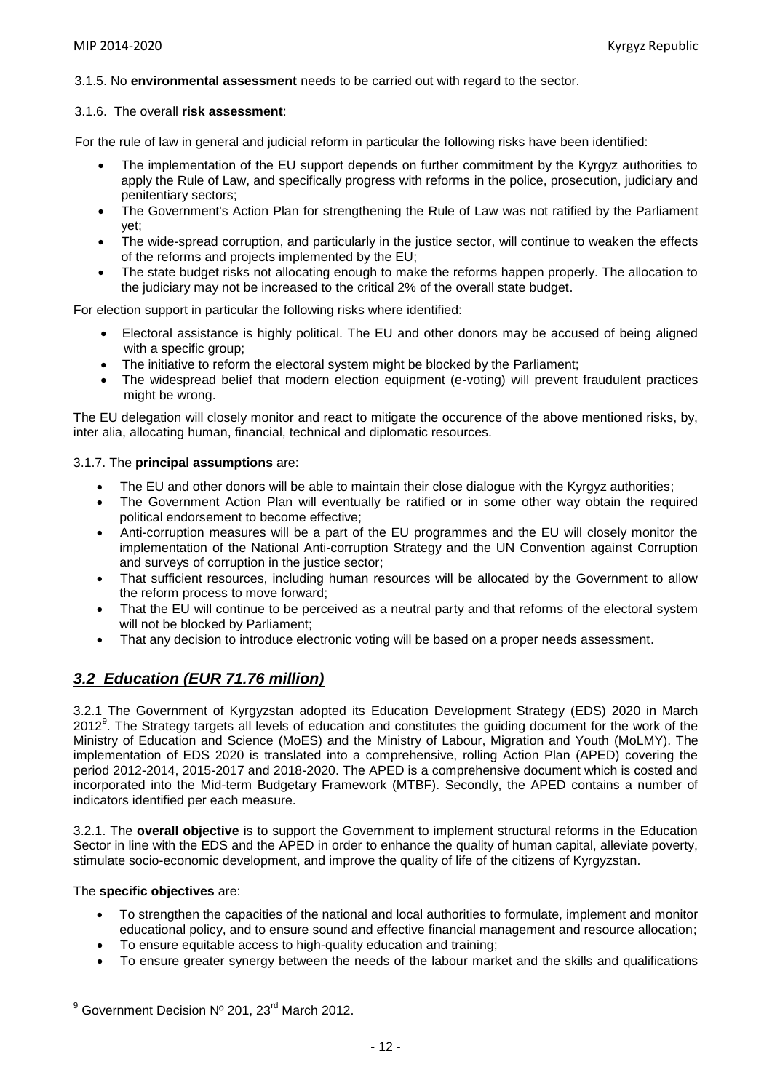#### 3.1.5. No **environmental assessment** needs to be carried out with regard to the sector.

#### 3.1.6. The overall **risk assessment**:

For the rule of law in general and judicial reform in particular the following risks have been identified:

- The implementation of the EU support depends on further commitment by the Kyrgyz authorities to apply the Rule of Law, and specifically progress with reforms in the police, prosecution, judiciary and penitentiary sectors;
- The Government's Action Plan for strengthening the Rule of Law was not ratified by the Parliament yet;
- The wide-spread corruption, and particularly in the justice sector, will continue to weaken the effects of the reforms and projects implemented by the EU;
- The state budget risks not allocating enough to make the reforms happen properly. The allocation to the judiciary may not be increased to the critical 2% of the overall state budget.

For election support in particular the following risks where identified:

- Electoral assistance is highly political. The EU and other donors may be accused of being aligned with a specific group;
- The initiative to reform the electoral system might be blocked by the Parliament;
- The widespread belief that modern election equipment (e-voting) will prevent fraudulent practices might be wrong.

The EU delegation will closely monitor and react to mitigate the occurence of the above mentioned risks, by, inter alia, allocating human, financial, technical and diplomatic resources.

#### 3.1.7. The **principal assumptions** are:

- The EU and other donors will be able to maintain their close dialogue with the Kyrgyz authorities;
- The Government Action Plan will eventually be ratified or in some other way obtain the required political endorsement to become effective;
- Anti-corruption measures will be a part of the EU programmes and the EU will closely monitor the implementation of the National Anti-corruption Strategy and the UN Convention against Corruption and surveys of corruption in the justice sector;
- That sufficient resources, including human resources will be allocated by the Government to allow the reform process to move forward;
- That the EU will continue to be perceived as a neutral party and that reforms of the electoral system will not be blocked by Parliament;
- That any decision to introduce electronic voting will be based on a proper needs assessment.

# *3.2 Education (EUR 71.76 million)*

3.2.1 The Government of Kyrgyzstan adopted its Education Development Strategy (EDS) 2020 in March 2012<sup>9</sup>. The Strategy targets all levels of education and constitutes the guiding document for the work of the Ministry of Education and Science (MoES) and the Ministry of Labour, Migration and Youth (MoLMY). The implementation of EDS 2020 is translated into a comprehensive, rolling Action Plan (APED) covering the period 2012-2014, 2015-2017 and 2018-2020. The APED is a comprehensive document which is costed and incorporated into the Mid-term Budgetary Framework (MTBF). Secondly, the APED contains a number of indicators identified per each measure.

3.2.1. The **overall objective** is to support the Government to implement structural reforms in the Education Sector in line with the EDS and the APED in order to enhance the quality of human capital, alleviate poverty, stimulate socio-economic development, and improve the quality of life of the citizens of Kyrgyzstan.

#### The **specific objectives** are:

**.** 

- To strengthen the capacities of the national and local authorities to formulate, implement and monitor educational policy, and to ensure sound and effective financial management and resource allocation;
- To ensure equitable access to high-quality education and training;
- To ensure greater synergy between the needs of the labour market and the skills and qualifications

 $9^9$  Government Decision Nº 201, 23<sup>rd</sup> March 2012.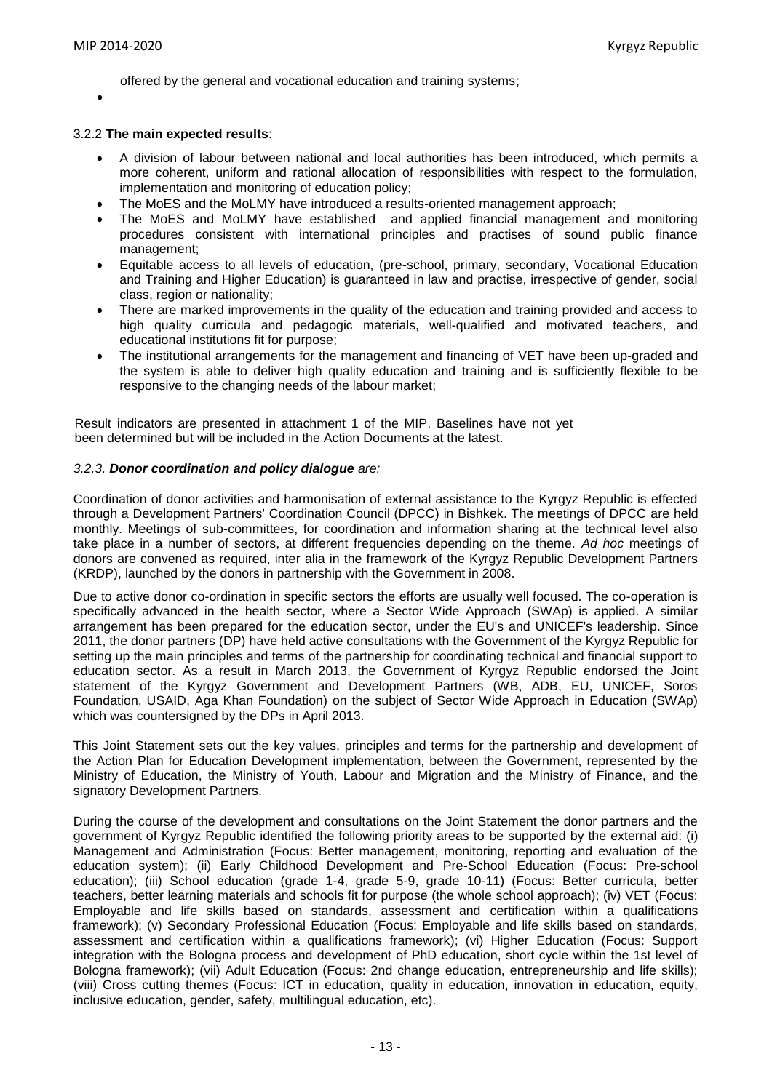offered by the general and vocational education and training systems;

 $\bullet$ 

#### 3.2.2 **The main expected results**:

- A division of labour between national and local authorities has been introduced, which permits a more coherent, uniform and rational allocation of responsibilities with respect to the formulation, implementation and monitoring of education policy;
- The MoES and the MoLMY have introduced a results-oriented management approach;
- The MoES and MoLMY have established and applied financial management and monitoring procedures consistent with international principles and practises of sound public finance management;
- Equitable access to all levels of education, (pre-school, primary, secondary, Vocational Education and Training and Higher Education) is guaranteed in law and practise, irrespective of gender, social class, region or nationality;
- There are marked improvements in the quality of the education and training provided and access to high quality curricula and pedagogic materials, well-qualified and motivated teachers, and educational institutions fit for purpose;
- The institutional arrangements for the management and financing of VET have been up-graded and the system is able to deliver high quality education and training and is sufficiently flexible to be responsive to the changing needs of the labour market;

Result indicators are presented in attachment 1 of the MIP. Baselines have not yet been determined but will be included in the Action Documents at the latest.

#### *3.2.3. Donor coordination and policy dialogue are:*

Coordination of donor activities and harmonisation of external assistance to the Kyrgyz Republic is effected through a Development Partners' Coordination Council (DPCC) in Bishkek. The meetings of DPCC are held monthly. Meetings of sub-committees, for coordination and information sharing at the technical level also take place in a number of sectors, at different frequencies depending on the theme. *Ad hoc* meetings of donors are convened as required, inter alia in the framework of the Kyrgyz Republic Development Partners (KRDP), launched by the donors in partnership with the Government in 2008.

Due to active donor co-ordination in specific sectors the efforts are usually well focused. The co-operation is specifically advanced in the health sector, where a Sector Wide Approach (SWAp) is applied. A similar arrangement has been prepared for the education sector, under the EU's and UNICEF's leadership. Since 2011, the donor partners (DP) have held active consultations with the Government of the Kyrgyz Republic for setting up the main principles and terms of the partnership for coordinating technical and financial support to education sector. As a result in March 2013, the Government of Kyrgyz Republic endorsed the Joint statement of the Kyrgyz Government and Development Partners (WB, ADB, EU, UNICEF, Soros Foundation, USAID, Aga Khan Foundation) on the subject of Sector Wide Approach in Education (SWAp) which was countersigned by the DPs in April 2013.

This Joint Statement sets out the key values, principles and terms for the partnership and development of the Action Plan for Education Development implementation, between the Government, represented by the Ministry of Education, the Ministry of Youth, Labour and Migration and the Ministry of Finance, and the signatory Development Partners.

During the course of the development and consultations on the Joint Statement the donor partners and the government of Kyrgyz Republic identified the following priority areas to be supported by the external aid: (i) Management and Administration (Focus: Better management, monitoring, reporting and evaluation of the education system); (ii) Early Childhood Development and Pre-School Education (Focus: Pre-school education); (iii) School education (grade 1-4, grade 5-9, grade 10-11) (Focus: Better curricula, better teachers, better learning materials and schools fit for purpose (the whole school approach); (iv) VET (Focus: Employable and life skills based on standards, assessment and certification within a qualifications framework); (v) Secondary Professional Education (Focus: Employable and life skills based on standards, assessment and certification within a qualifications framework); (vi) Higher Education (Focus: Support integration with the Bologna process and development of PhD education, short cycle within the 1st level of Bologna framework); (vii) Adult Education (Focus: 2nd change education, entrepreneurship and life skills); (viii) Cross cutting themes (Focus: ICT in education, quality in education, innovation in education, equity, inclusive education, gender, safety, multilingual education, etc).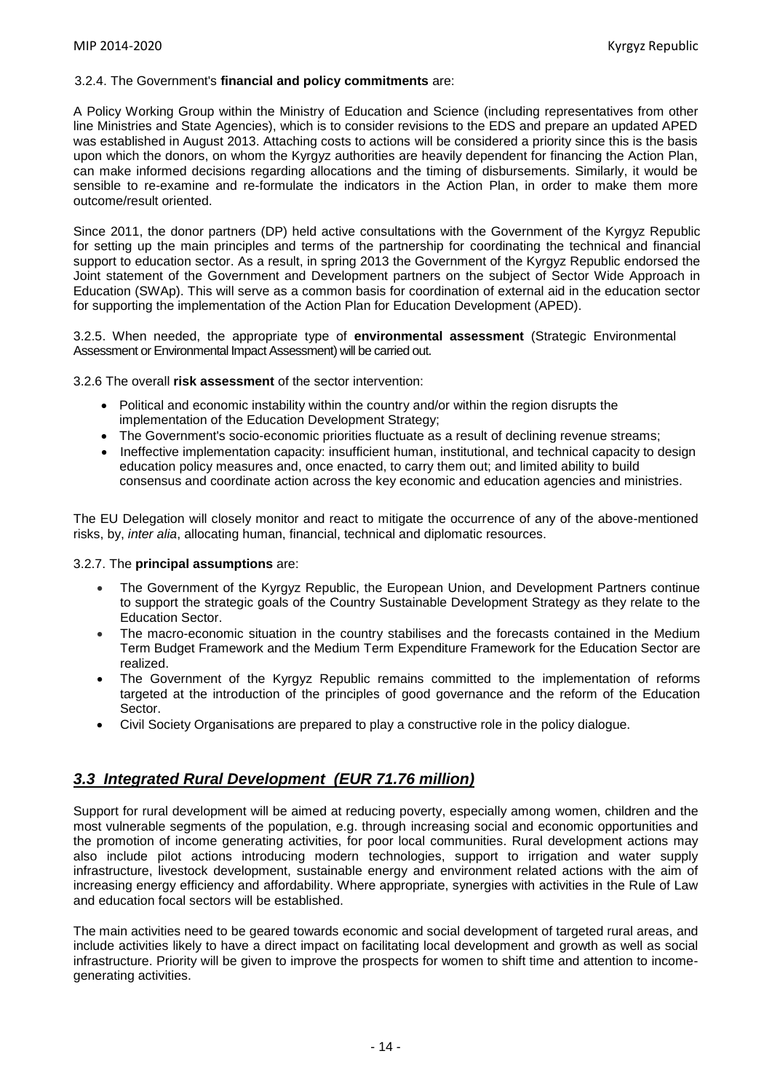#### 3.2.4. The Government's **financial and policy commitments** are:

A Policy Working Group within the Ministry of Education and Science (including representatives from other line Ministries and State Agencies), which is to consider revisions to the EDS and prepare an updated APED was established in August 2013. Attaching costs to actions will be considered a priority since this is the basis upon which the donors, on whom the Kyrgyz authorities are heavily dependent for financing the Action Plan, can make informed decisions regarding allocations and the timing of disbursements. Similarly, it would be sensible to re-examine and re-formulate the indicators in the Action Plan, in order to make them more outcome/result oriented.

Since 2011, the donor partners (DP) held active consultations with the Government of the Kyrgyz Republic for setting up the main principles and terms of the partnership for coordinating the technical and financial support to education sector. As a result, in spring 2013 the Government of the Kyrgyz Republic endorsed the Joint statement of the Government and Development partners on the subject of Sector Wide Approach in Education (SWAp). This will serve as a common basis for coordination of external aid in the education sector for supporting the implementation of the Action Plan for Education Development (APED).

3.2.5. When needed, the appropriate type of **environmental assessment** (Strategic Environmental Assessment or Environmental Impact Assessment) will be carried out.

3.2.6 The overall **risk assessment** of the sector intervention:

- Political and economic instability within the country and/or within the region disrupts the implementation of the Education Development Strategy;
- The Government's socio-economic priorities fluctuate as a result of declining revenue streams;
- Ineffective implementation capacity: insufficient human, institutional, and technical capacity to design education policy measures and, once enacted, to carry them out; and limited ability to build consensus and coordinate action across the key economic and education agencies and ministries.

The EU Delegation will closely monitor and react to mitigate the occurrence of any of the above-mentioned risks, by, *inter alia*, allocating human, financial, technical and diplomatic resources.

#### 3.2.7. The **principal assumptions** are:

- The Government of the Kyrgyz Republic, the European Union, and Development Partners continue to support the strategic goals of the Country Sustainable Development Strategy as they relate to the Education Sector.
- The macro-economic situation in the country stabilises and the forecasts contained in the Medium Term Budget Framework and the Medium Term Expenditure Framework for the Education Sector are realized.
- The Government of the Kyrgyz Republic remains committed to the implementation of reforms targeted at the introduction of the principles of good governance and the reform of the Education Sector.
- Civil Society Organisations are prepared to play a constructive role in the policy dialogue.

# *3.3 Integrated Rural Development (EUR 71.76 million)*

Support for rural development will be aimed at reducing poverty, especially among women, children and the most vulnerable segments of the population, e.g. through increasing social and economic opportunities and the promotion of income generating activities, for poor local communities. Rural development actions may also include pilot actions introducing modern technologies, support to irrigation and water supply infrastructure, livestock development, sustainable energy and environment related actions with the aim of increasing energy efficiency and affordability. Where appropriate, synergies with activities in the Rule of Law and education focal sectors will be established.

The main activities need to be geared towards economic and social development of targeted rural areas, and include activities likely to have a direct impact on facilitating local development and growth as well as social infrastructure. Priority will be given to improve the prospects for women to shift time and attention to incomegenerating activities.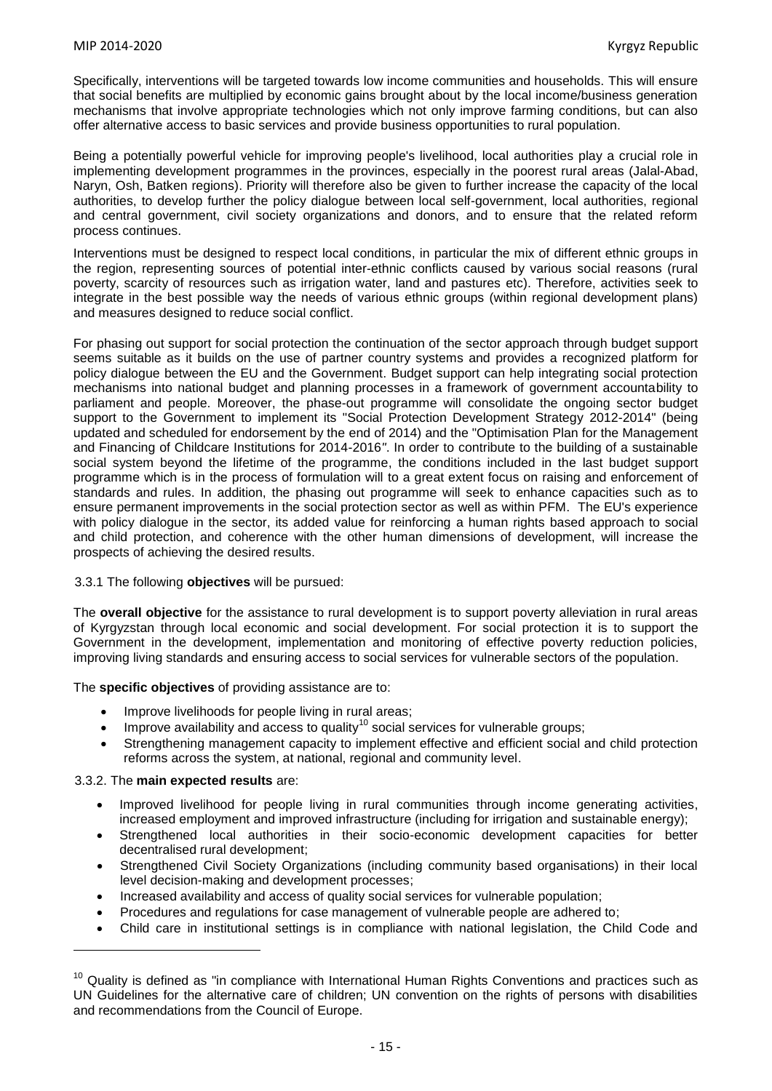Specifically, interventions will be targeted towards low income communities and households. This will ensure that social benefits are multiplied by economic gains brought about by the local income/business generation mechanisms that involve appropriate technologies which not only improve farming conditions, but can also offer alternative access to basic services and provide business opportunities to rural population.

Being a potentially powerful vehicle for improving people's livelihood, local authorities play a crucial role in implementing development programmes in the provinces, especially in the poorest rural areas (Jalal-Abad, Naryn, Osh, Batken regions). Priority will therefore also be given to further increase the capacity of the local authorities, to develop further the policy dialogue between local self-government, local authorities, regional and central government, civil society organizations and donors, and to ensure that the related reform process continues.

Interventions must be designed to respect local conditions, in particular the mix of different ethnic groups in the region, representing sources of potential inter-ethnic conflicts caused by various social reasons (rural poverty, scarcity of resources such as irrigation water, land and pastures etc). Therefore, activities seek to integrate in the best possible way the needs of various ethnic groups (within regional development plans) and measures designed to reduce social conflict.

For phasing out support for social protection the continuation of the sector approach through budget support seems suitable as it builds on the use of partner country systems and provides a recognized platform for policy dialogue between the EU and the Government. Budget support can help integrating social protection mechanisms into national budget and planning processes in a framework of government accountability to parliament and people. Moreover, the phase-out programme will consolidate the ongoing sector budget support to the Government to implement its "Social Protection Development Strategy 2012-2014" (being updated and scheduled for endorsement by the end of 2014) and the "Optimisation Plan for the Management and Financing of Childcare Institutions for 2014-2016*"*. In order to contribute to the building of a sustainable social system beyond the lifetime of the programme, the conditions included in the last budget support programme which is in the process of formulation will to a great extent focus on raising and enforcement of standards and rules. In addition, the phasing out programme will seek to enhance capacities such as to ensure permanent improvements in the social protection sector as well as within PFM. The EU's experience with policy dialogue in the sector, its added value for reinforcing a human rights based approach to social and child protection, and coherence with the other human dimensions of development, will increase the prospects of achieving the desired results.

#### 3.3.1 The following **objectives** will be pursued:

The **overall objective** for the assistance to rural development is to support poverty alleviation in rural areas of Kyrgyzstan through local economic and social development. For social protection it is to support the Government in the development, implementation and monitoring of effective poverty reduction policies, improving living standards and ensuring access to social services for vulnerable sectors of the population.

The **specific objectives** of providing assistance are to:

- Improve livelihoods for people living in rural areas;
- Improve availability and access to quality<sup>10</sup> social services for vulnerable groups;
- Strengthening management capacity to implement effective and efficient social and child protection reforms across the system, at national, regional and community level.

#### 3.3.2. The **main expected results** are:

 $\overline{\phantom{a}}$ 

- Improved livelihood for people living in rural communities through income generating activities, increased employment and improved infrastructure (including for irrigation and sustainable energy);
- Strengthened local authorities in their socio-economic development capacities for better decentralised rural development;
- Strengthened Civil Society Organizations (including community based organisations) in their local level decision-making and development processes;
- Increased availability and access of quality social services for vulnerable population;
- Procedures and regulations for case management of vulnerable people are adhered to;
- Child care in institutional settings is in compliance with national legislation, the Child Code and

 $10$  Quality is defined as "in compliance with International Human Rights Conventions and practices such as UN Guidelines for the alternative care of children; UN convention on the rights of persons with disabilities and recommendations from the Council of Europe.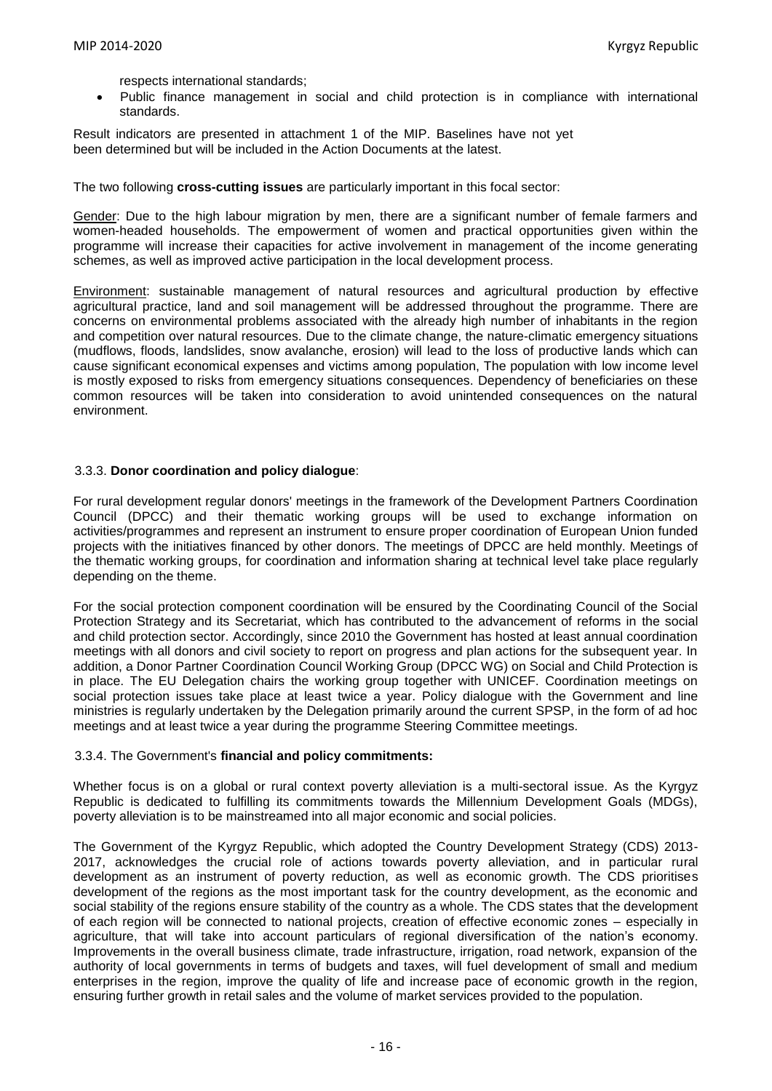respects international standards;

 Public finance management in social and child protection is in compliance with international standards.

Result indicators are presented in attachment 1 of the MIP. Baselines have not yet been determined but will be included in the Action Documents at the latest.

The two following **cross-cutting issues** are particularly important in this focal sector:

Gender: Due to the high labour migration by men, there are a significant number of female farmers and women-headed households. The empowerment of women and practical opportunities given within the programme will increase their capacities for active involvement in management of the income generating schemes, as well as improved active participation in the local development process.

Environment: sustainable management of natural resources and agricultural production by effective agricultural practice, land and soil management will be addressed throughout the programme. There are concerns on environmental problems associated with the already high number of inhabitants in the region and competition over natural resources. Due to the climate change, the nature-climatic emergency situations (mudflows, floods, landslides, snow avalanche, erosion) will lead to the loss of productive lands which can cause significant economical expenses and victims among population, The population with low income level is mostly exposed to risks from emergency situations consequences. Dependency of beneficiaries on these common resources will be taken into consideration to avoid unintended consequences on the natural environment.

#### 3.3.3. **Donor coordination and policy dialogue**:

For rural development regular donors' meetings in the framework of the Development Partners Coordination Council (DPCC) and their thematic working groups will be used to exchange information on activities/programmes and represent an instrument to ensure proper coordination of European Union funded projects with the initiatives financed by other donors. The meetings of DPCC are held monthly. Meetings of the thematic working groups, for coordination and information sharing at technical level take place regularly depending on the theme.

For the social protection component coordination will be ensured by the Coordinating Council of the Social Protection Strategy and its Secretariat, which has contributed to the advancement of reforms in the social and child protection sector. Accordingly, since 2010 the Government has hosted at least annual coordination meetings with all donors and civil society to report on progress and plan actions for the subsequent year. In addition, a Donor Partner Coordination Council Working Group (DPCC WG) on Social and Child Protection is in place. The EU Delegation chairs the working group together with UNICEF. Coordination meetings on social protection issues take place at least twice a year. Policy dialogue with the Government and line ministries is regularly undertaken by the Delegation primarily around the current SPSP, in the form of ad hoc meetings and at least twice a year during the programme Steering Committee meetings.

#### 3.3.4. The Government's **financial and policy commitments:**

Whether focus is on a global or rural context poverty alleviation is a multi-sectoral issue. As the Kyrgyz Republic is dedicated to fulfilling its commitments towards the Millennium Development Goals (MDGs), poverty alleviation is to be mainstreamed into all major economic and social policies.

The Government of the Kyrgyz Republic, which adopted the Country Development Strategy (CDS) 2013- 2017, acknowledges the crucial role of actions towards poverty alleviation, and in particular rural development as an instrument of poverty reduction, as well as economic growth. The CDS prioritises development of the regions as the most important task for the country development, as the economic and social stability of the regions ensure stability of the country as a whole. The CDS states that the development of each region will be connected to national projects, creation of effective economic zones – especially in agriculture, that will take into account particulars of regional diversification of the nation's economy. Improvements in the overall business climate, trade infrastructure, irrigation, road network, expansion of the authority of local governments in terms of budgets and taxes, will fuel development of small and medium enterprises in the region, improve the quality of life and increase pace of economic growth in the region, ensuring further growth in retail sales and the volume of market services provided to the population.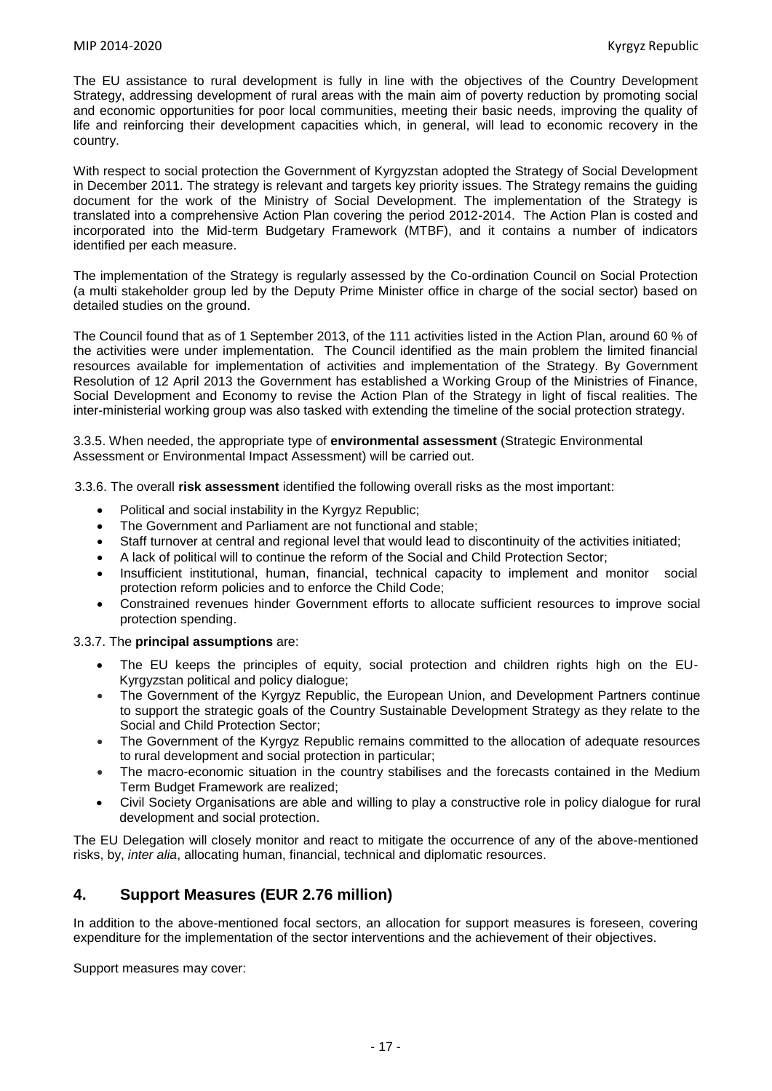The EU assistance to rural development is fully in line with the objectives of the Country Development Strategy, addressing development of rural areas with the main aim of poverty reduction by promoting social and economic opportunities for poor local communities, meeting their basic needs, improving the quality of life and reinforcing their development capacities which, in general, will lead to economic recovery in the country.

With respect to social protection the Government of Kyrgyzstan adopted the Strategy of Social Development in December 2011. The strategy is relevant and targets key priority issues. The Strategy remains the guiding document for the work of the Ministry of Social Development. The implementation of the Strategy is translated into a comprehensive Action Plan covering the period 2012-2014. The Action Plan is costed and incorporated into the Mid-term Budgetary Framework (MTBF), and it contains a number of indicators identified per each measure.

The implementation of the Strategy is regularly assessed by the Co-ordination Council on Social Protection (a multi stakeholder group led by the Deputy Prime Minister office in charge of the social sector) based on detailed studies on the ground.

The Council found that as of 1 September 2013, of the 111 activities listed in the Action Plan, around 60 % of the activities were under implementation. The Council identified as the main problem the limited financial resources available for implementation of activities and implementation of the Strategy. By Government Resolution of 12 April 2013 the Government has established a Working Group of the Ministries of Finance, Social Development and Economy to revise the Action Plan of the Strategy in light of fiscal realities. The inter-ministerial working group was also tasked with extending the timeline of the social protection strategy.

3.3.5. When needed, the appropriate type of **environmental assessment** (Strategic Environmental Assessment or Environmental Impact Assessment) will be carried out.

3.3.6. The overall **risk assessment** identified the following overall risks as the most important:

- Political and social instability in the Kyrgyz Republic;
- The Government and Parliament are not functional and stable;
- Staff turnover at central and regional level that would lead to discontinuity of the activities initiated;
- A lack of political will to continue the reform of the Social and Child Protection Sector;
- Insufficient institutional, human, financial, technical capacity to implement and monitor social protection reform policies and to enforce the Child Code;
- Constrained revenues hinder Government efforts to allocate sufficient resources to improve social protection spending.

#### 3.3.7. The **principal assumptions** are:

- The EU keeps the principles of equity, social protection and children rights high on the EU-Kyrgyzstan political and policy dialogue;
- The Government of the Kyrgyz Republic, the European Union, and Development Partners continue to support the strategic goals of the Country Sustainable Development Strategy as they relate to the Social and Child Protection Sector;
- The Government of the Kyrgyz Republic remains committed to the allocation of adequate resources to rural development and social protection in particular;
- The macro-economic situation in the country stabilises and the forecasts contained in the Medium Term Budget Framework are realized;
- Civil Society Organisations are able and willing to play a constructive role in policy dialogue for rural development and social protection.

The EU Delegation will closely monitor and react to mitigate the occurrence of any of the above-mentioned risks, by, *inter alia*, allocating human, financial, technical and diplomatic resources.

# **4. Support Measures (EUR 2.76 million)**

In addition to the above-mentioned focal sectors, an allocation for support measures is foreseen, covering expenditure for the implementation of the sector interventions and the achievement of their objectives.

Support measures may cover: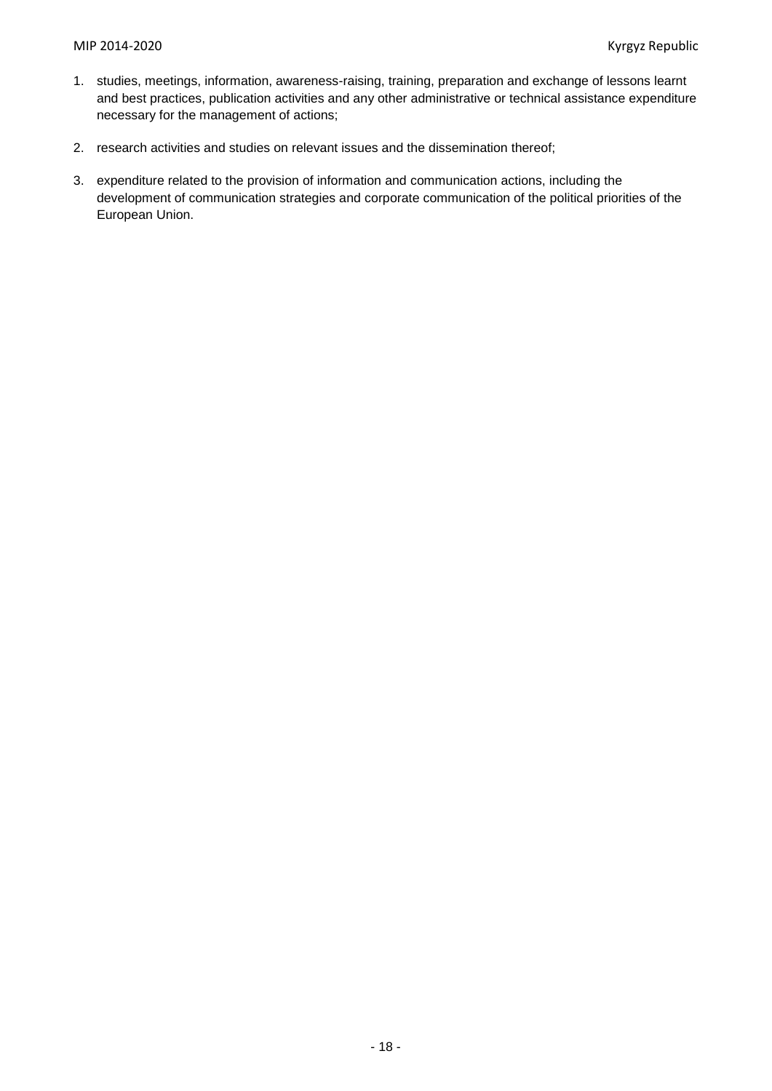- 1. studies, meetings, information, awareness-raising, training, preparation and exchange of lessons learnt and best practices, publication activities and any other administrative or technical assistance expenditure necessary for the management of actions;
- 2. research activities and studies on relevant issues and the dissemination thereof;
- 3. expenditure related to the provision of information and communication actions, including the development of communication strategies and corporate communication of the political priorities of the European Union.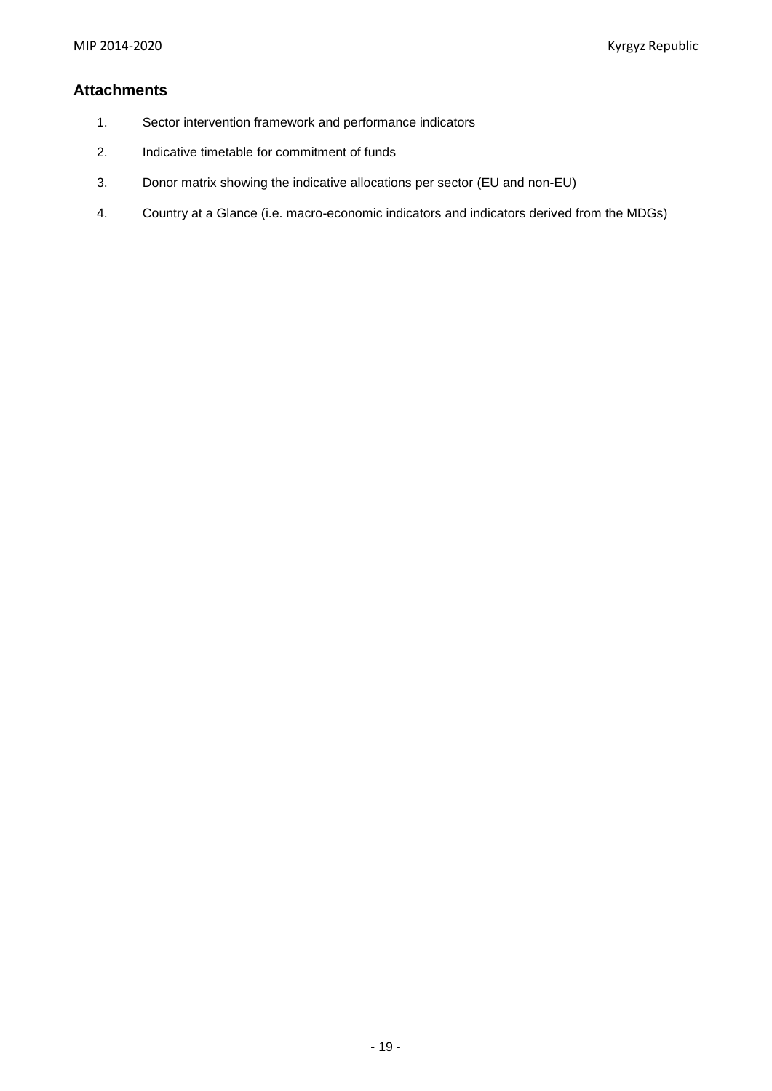# **Attachments**

- 1. Sector intervention framework and performance indicators
- 2. Indicative timetable for commitment of funds
- 3. Donor matrix showing the indicative allocations per sector (EU and non-EU)
- 4. Country at a Glance (i.e. macro-economic indicators and indicators derived from the MDGs)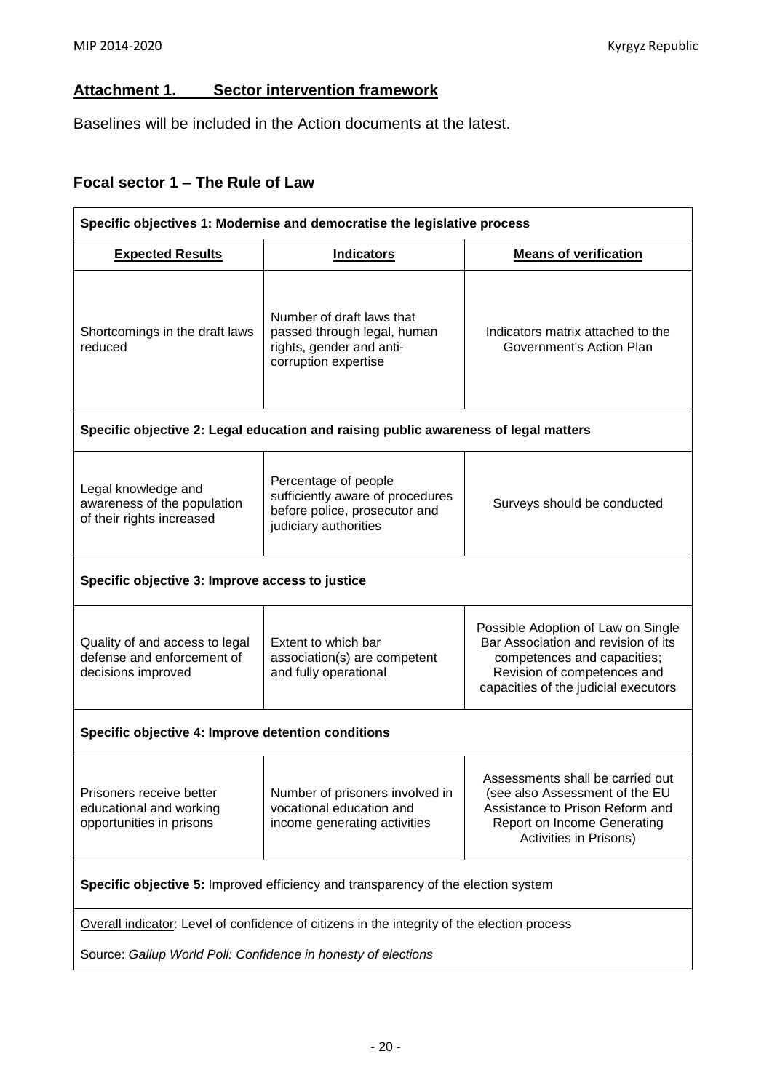# **Attachment 1. Sector intervention framework**

Baselines will be included in the Action documents at the latest.

# **Focal sector 1 – The Rule of Law**

| Specific objectives 1: Modernise and democratise the legislative process            |                                                                                                                    |                                                                                                                                                                                 |  |  |  |  |  |  |  |  |  |
|-------------------------------------------------------------------------------------|--------------------------------------------------------------------------------------------------------------------|---------------------------------------------------------------------------------------------------------------------------------------------------------------------------------|--|--|--|--|--|--|--|--|--|
| <b>Indicators</b><br><b>Means of verification</b><br><b>Expected Results</b>        |                                                                                                                    |                                                                                                                                                                                 |  |  |  |  |  |  |  |  |  |
| Shortcomings in the draft laws<br>reduced                                           | Number of draft laws that<br>passed through legal, human<br>rights, gender and anti-<br>corruption expertise       | Indicators matrix attached to the<br>Government's Action Plan                                                                                                                   |  |  |  |  |  |  |  |  |  |
| Specific objective 2: Legal education and raising public awareness of legal matters |                                                                                                                    |                                                                                                                                                                                 |  |  |  |  |  |  |  |  |  |
| Legal knowledge and<br>awareness of the population<br>of their rights increased     | Percentage of people<br>sufficiently aware of procedures<br>before police, prosecutor and<br>judiciary authorities | Surveys should be conducted                                                                                                                                                     |  |  |  |  |  |  |  |  |  |
| Specific objective 3: Improve access to justice                                     |                                                                                                                    |                                                                                                                                                                                 |  |  |  |  |  |  |  |  |  |
| Quality of and access to legal<br>defense and enforcement of<br>decisions improved  | Extent to which bar<br>association(s) are competent<br>and fully operational                                       | Possible Adoption of Law on Single<br>Bar Association and revision of its<br>competences and capacities;<br>Revision of competences and<br>capacities of the judicial executors |  |  |  |  |  |  |  |  |  |
| Specific objective 4: Improve detention conditions                                  |                                                                                                                    |                                                                                                                                                                                 |  |  |  |  |  |  |  |  |  |
| Prisoners receive better<br>educational and working<br>opportunities in prisons     | Number of prisoners involved in<br>vocational education and<br>income generating activities                        | Assessments shall be carried out<br>(see also Assessment of the EU<br>Assistance to Prison Reform and<br><b>Report on Income Generating</b><br>Activities in Prisons)           |  |  |  |  |  |  |  |  |  |
|                                                                                     | Specific objective 5: Improved efficiency and transparency of the election system                                  |                                                                                                                                                                                 |  |  |  |  |  |  |  |  |  |
|                                                                                     | Overall indicator: Level of confidence of citizens in the integrity of the election process                        |                                                                                                                                                                                 |  |  |  |  |  |  |  |  |  |
| Source: Gallup World Poll: Confidence in honesty of elections                       |                                                                                                                    |                                                                                                                                                                                 |  |  |  |  |  |  |  |  |  |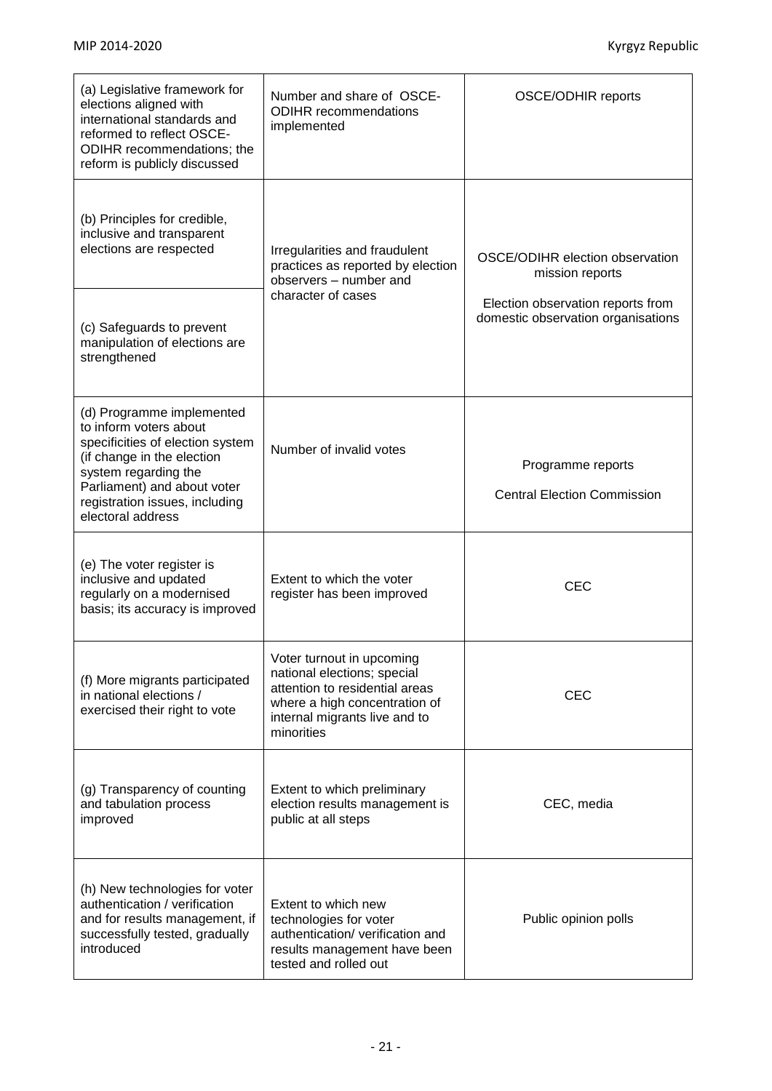| (a) Legislative framework for<br>elections aligned with<br>international standards and<br>reformed to reflect OSCE-<br>ODIHR recommendations; the<br>reform is publicly discussed                                                   | Number and share of OSCE-<br><b>ODIHR</b> recommendations<br>implemented                                                                                                   | <b>OSCE/ODHIR reports</b>                                               |
|-------------------------------------------------------------------------------------------------------------------------------------------------------------------------------------------------------------------------------------|----------------------------------------------------------------------------------------------------------------------------------------------------------------------------|-------------------------------------------------------------------------|
| (b) Principles for credible,<br>inclusive and transparent<br>elections are respected                                                                                                                                                | Irregularities and fraudulent<br>practices as reported by election<br>observers - number and                                                                               | OSCE/ODIHR election observation<br>mission reports                      |
| (c) Safeguards to prevent<br>manipulation of elections are<br>strengthened                                                                                                                                                          | character of cases                                                                                                                                                         | Election observation reports from<br>domestic observation organisations |
| (d) Programme implemented<br>to inform voters about<br>specificities of election system<br>(if change in the election<br>system regarding the<br>Parliament) and about voter<br>registration issues, including<br>electoral address | Number of invalid votes                                                                                                                                                    | Programme reports<br><b>Central Election Commission</b>                 |
| (e) The voter register is<br>inclusive and updated<br>regularly on a modernised<br>basis; its accuracy is improved                                                                                                                  | Extent to which the voter<br>register has been improved                                                                                                                    | <b>CEC</b>                                                              |
| (f) More migrants participated<br>in national elections /<br>exercised their right to vote                                                                                                                                          | Voter turnout in upcoming<br>national elections; special<br>attention to residential areas<br>where a high concentration of<br>internal migrants live and to<br>minorities | <b>CEC</b>                                                              |
| (g) Transparency of counting<br>and tabulation process<br>improved                                                                                                                                                                  | Extent to which preliminary<br>election results management is<br>public at all steps                                                                                       | CEC, media                                                              |
| (h) New technologies for voter<br>authentication / verification<br>and for results management, if<br>successfully tested, gradually<br>introduced                                                                                   | Extent to which new<br>technologies for voter<br>authentication/ verification and<br>results management have been<br>tested and rolled out                                 | Public opinion polls                                                    |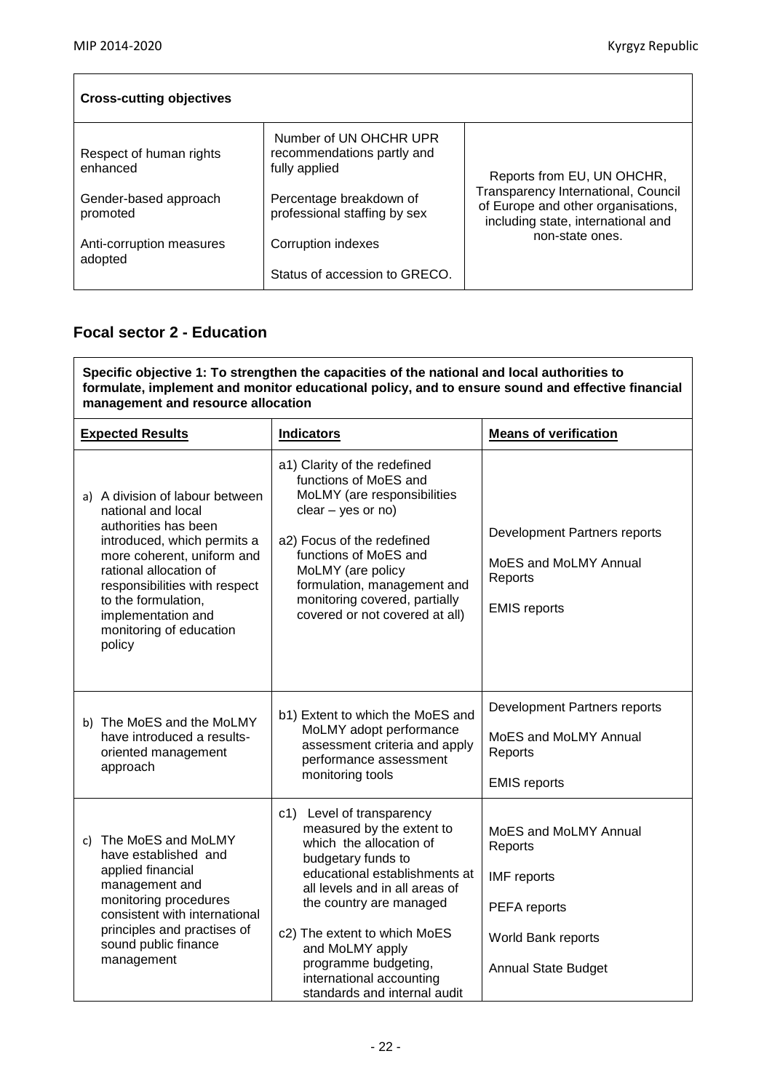$\overline{1}$ 

i.

| <b>Cross-cutting objectives</b>     |                                                                       |                                                                                                                 |  |  |  |  |  |  |  |
|-------------------------------------|-----------------------------------------------------------------------|-----------------------------------------------------------------------------------------------------------------|--|--|--|--|--|--|--|
| Respect of human rights<br>enhanced | Number of UN OHCHR UPR<br>recommendations partly and<br>fully applied | Reports from EU, UN OHCHR,                                                                                      |  |  |  |  |  |  |  |
| Gender-based approach<br>promoted   | Percentage breakdown of<br>professional staffing by sex               | Transparency International, Council<br>of Europe and other organisations,<br>including state, international and |  |  |  |  |  |  |  |
| Anti-corruption measures<br>adopted | Corruption indexes                                                    | non-state ones.                                                                                                 |  |  |  |  |  |  |  |
|                                     | Status of accession to GRECO.                                         |                                                                                                                 |  |  |  |  |  |  |  |

# **Focal sector 2 - Education**

**Specific objective 1: To strengthen the capacities of the national and local authorities to formulate, implement and monitor educational policy, and to ensure sound and effective financial management and resource allocation**

| <b>Expected Results</b>                                                                                                                                                                                                                                                                 | <b>Indicators</b>                                                                                                                                                                                                                                                                                                                            | <b>Means of verification</b>                                                                                               |  |  |  |  |  |
|-----------------------------------------------------------------------------------------------------------------------------------------------------------------------------------------------------------------------------------------------------------------------------------------|----------------------------------------------------------------------------------------------------------------------------------------------------------------------------------------------------------------------------------------------------------------------------------------------------------------------------------------------|----------------------------------------------------------------------------------------------------------------------------|--|--|--|--|--|
| a) A division of labour between<br>national and local<br>authorities has been<br>introduced, which permits a<br>more coherent, uniform and<br>rational allocation of<br>responsibilities with respect<br>to the formulation,<br>implementation and<br>monitoring of education<br>policy | a1) Clarity of the redefined<br>functions of MoES and<br>MoLMY (are responsibilities<br>$clear - yes or no)$<br>a2) Focus of the redefined<br>functions of MoES and<br>MoLMY (are policy<br>formulation, management and<br>monitoring covered, partially<br>covered or not covered at all)                                                   | Development Partners reports<br>MoES and MoLMY Annual<br>Reports<br><b>EMIS</b> reports                                    |  |  |  |  |  |
| b) The MoES and the MoLMY<br>have introduced a results-<br>oriented management<br>approach                                                                                                                                                                                              | b1) Extent to which the MoES and<br>MoLMY adopt performance<br>assessment criteria and apply<br>performance assessment<br>monitoring tools                                                                                                                                                                                                   | Development Partners reports<br>MoES and MoLMY Annual<br>Reports<br><b>EMIS</b> reports                                    |  |  |  |  |  |
| The MoES and MoLMY<br>c)<br>have established and<br>applied financial<br>management and<br>monitoring procedures<br>consistent with international<br>principles and practises of<br>sound public finance<br>management                                                                  | c1) Level of transparency<br>measured by the extent to<br>which the allocation of<br>budgetary funds to<br>educational establishments at<br>all levels and in all areas of<br>the country are managed<br>c2) The extent to which MoES<br>and MoLMY apply<br>programme budgeting,<br>international accounting<br>standards and internal audit | MoES and MoLMY Annual<br>Reports<br><b>IMF</b> reports<br>PEFA reports<br>World Bank reports<br><b>Annual State Budget</b> |  |  |  |  |  |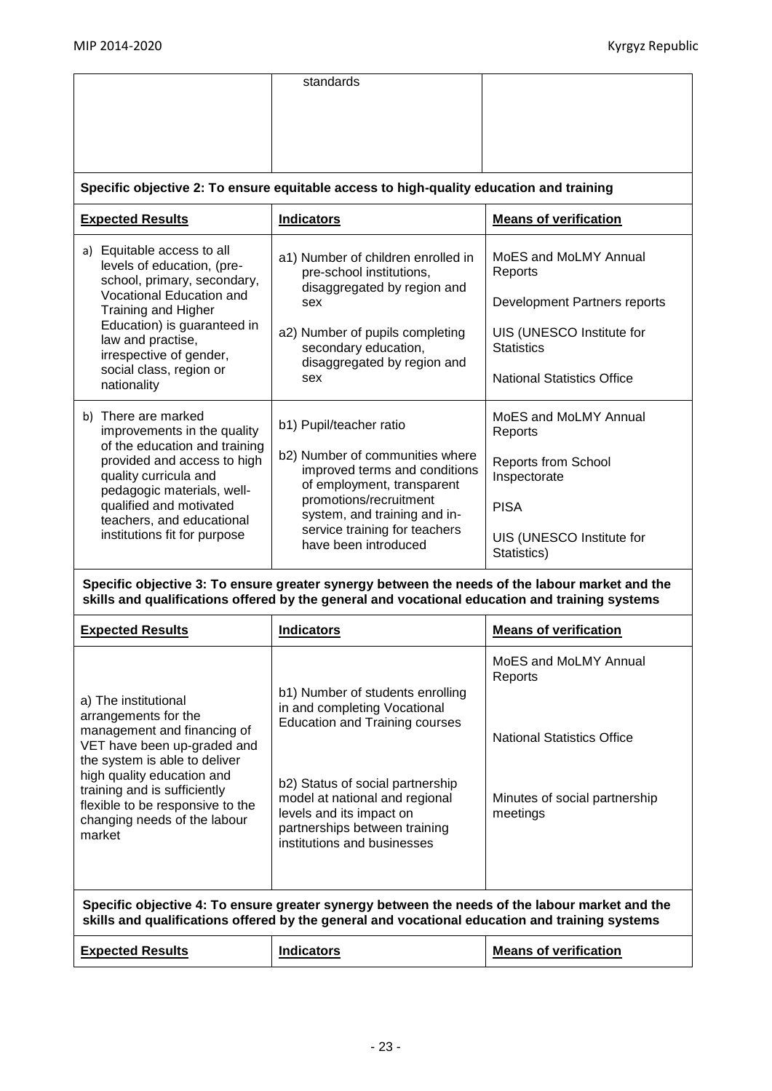|                                                                                                                                                                                                                                                                                                                                                                                                                                                                                                                                                 | standards                                                                                                                                                                                                                                                                                                                                                                                                                                             |                                                                                                                                                                                                                                                                                                      |  |  |  |  |
|-------------------------------------------------------------------------------------------------------------------------------------------------------------------------------------------------------------------------------------------------------------------------------------------------------------------------------------------------------------------------------------------------------------------------------------------------------------------------------------------------------------------------------------------------|-------------------------------------------------------------------------------------------------------------------------------------------------------------------------------------------------------------------------------------------------------------------------------------------------------------------------------------------------------------------------------------------------------------------------------------------------------|------------------------------------------------------------------------------------------------------------------------------------------------------------------------------------------------------------------------------------------------------------------------------------------------------|--|--|--|--|
|                                                                                                                                                                                                                                                                                                                                                                                                                                                                                                                                                 | Specific objective 2: To ensure equitable access to high-quality education and training                                                                                                                                                                                                                                                                                                                                                               |                                                                                                                                                                                                                                                                                                      |  |  |  |  |
| <b>Expected Results</b>                                                                                                                                                                                                                                                                                                                                                                                                                                                                                                                         | <b>Indicators</b>                                                                                                                                                                                                                                                                                                                                                                                                                                     | <b>Means of verification</b>                                                                                                                                                                                                                                                                         |  |  |  |  |
| a) Equitable access to all<br>levels of education, (pre-<br>school, primary, secondary,<br>Vocational Education and<br><b>Training and Higher</b><br>Education) is guaranteed in<br>law and practise,<br>irrespective of gender,<br>social class, region or<br>nationality<br>b) There are marked<br>improvements in the quality<br>of the education and training<br>provided and access to high<br>quality curricula and<br>pedagogic materials, well-<br>qualified and motivated<br>teachers, and educational<br>institutions fit for purpose | a1) Number of children enrolled in<br>pre-school institutions,<br>disaggregated by region and<br>sex<br>a2) Number of pupils completing<br>secondary education,<br>disaggregated by region and<br>sex<br>b1) Pupil/teacher ratio<br>b2) Number of communities where<br>improved terms and conditions<br>of employment, transparent<br>promotions/recruitment<br>system, and training and in-<br>service training for teachers<br>have been introduced | MoES and MoLMY Annual<br>Reports<br>Development Partners reports<br>UIS (UNESCO Institute for<br><b>Statistics</b><br><b>National Statistics Office</b><br>MoES and MoLMY Annual<br>Reports<br><b>Reports from School</b><br>Inspectorate<br><b>PISA</b><br>UIS (UNESCO Institute for<br>Statistics) |  |  |  |  |
|                                                                                                                                                                                                                                                                                                                                                                                                                                                                                                                                                 | Specific objective 3: To ensure greater synergy between the needs of the labour market and the<br>skills and qualifications offered by the general and vocational education and training systems                                                                                                                                                                                                                                                      |                                                                                                                                                                                                                                                                                                      |  |  |  |  |
| <b>Expected Results</b>                                                                                                                                                                                                                                                                                                                                                                                                                                                                                                                         | <b>Indicators</b>                                                                                                                                                                                                                                                                                                                                                                                                                                     | <b>Means of verification</b>                                                                                                                                                                                                                                                                         |  |  |  |  |
| a) The institutional<br>arrangements for the<br>management and financing of<br>VET have been up-graded and<br>the system is able to deliver<br>high quality education and<br>training and is sufficiently<br>flexible to be responsive to the<br>changing needs of the labour<br>market                                                                                                                                                                                                                                                         | b1) Number of students enrolling<br>in and completing Vocational<br><b>Education and Training courses</b><br>b2) Status of social partnership<br>model at national and regional<br>levels and its impact on<br>partnerships between training<br>institutions and businesses                                                                                                                                                                           | MoES and MoLMY Annual<br>Reports<br><b>National Statistics Office</b><br>Minutes of social partnership<br>meetings                                                                                                                                                                                   |  |  |  |  |
|                                                                                                                                                                                                                                                                                                                                                                                                                                                                                                                                                 | Specific objective 4: To ensure greater synergy between the needs of the labour market and the<br>skills and qualifications offered by the general and vocational education and training systems                                                                                                                                                                                                                                                      |                                                                                                                                                                                                                                                                                                      |  |  |  |  |
| <b>Expected Results</b>                                                                                                                                                                                                                                                                                                                                                                                                                                                                                                                         | <b>Indicators</b>                                                                                                                                                                                                                                                                                                                                                                                                                                     | <b>Means of verification</b>                                                                                                                                                                                                                                                                         |  |  |  |  |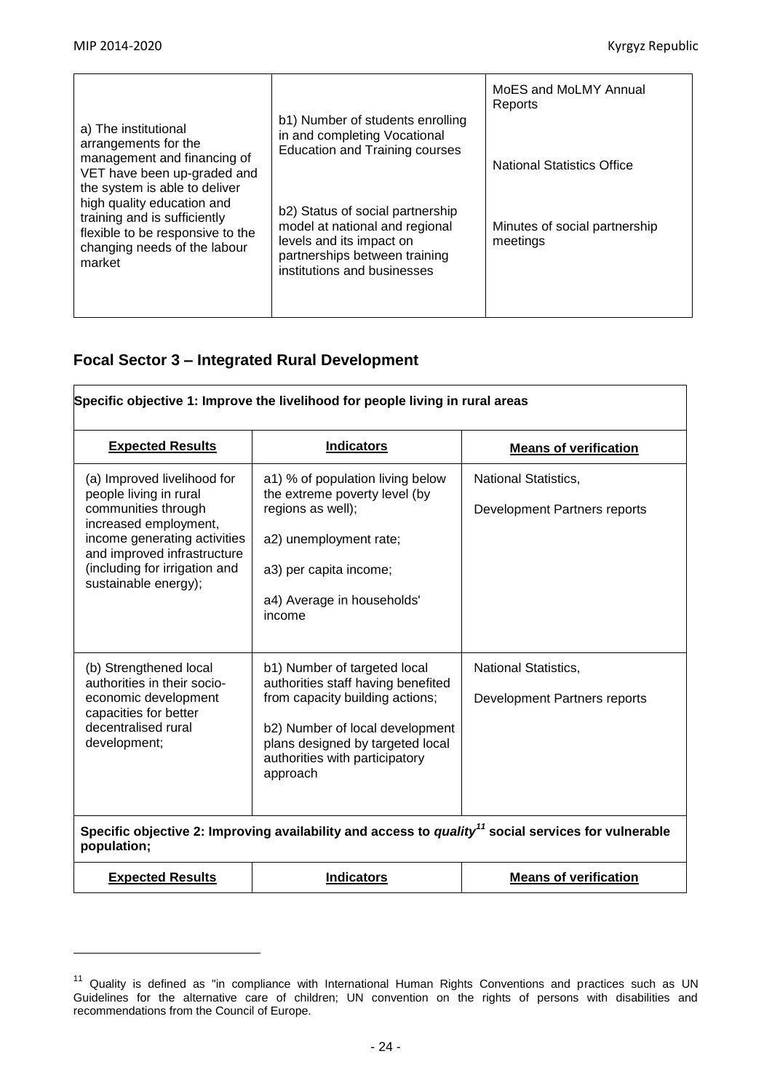$\overline{\phantom{a}}$ 

| a) The institutional<br>arrangements for the<br>management and financing of<br>VET have been up-graded and                                                                | b1) Number of students enrolling<br>in and completing Vocational<br><b>Education and Training courses</b>                                                      | MoES and MoLMY Annual<br>Reports<br><b>National Statistics Office</b> |
|---------------------------------------------------------------------------------------------------------------------------------------------------------------------------|----------------------------------------------------------------------------------------------------------------------------------------------------------------|-----------------------------------------------------------------------|
| the system is able to deliver<br>high quality education and<br>training and is sufficiently<br>flexible to be responsive to the<br>changing needs of the labour<br>market | b2) Status of social partnership<br>model at national and regional<br>levels and its impact on<br>partnerships between training<br>institutions and businesses | Minutes of social partnership<br>meetings                             |

# **Focal Sector 3 – Integrated Rural Development**

|                                                                                                                                                                                                                               | Specific objective 1: Improve the livelihood for people living in rural areas                                                                                                                                              |                                                                                                                 |
|-------------------------------------------------------------------------------------------------------------------------------------------------------------------------------------------------------------------------------|----------------------------------------------------------------------------------------------------------------------------------------------------------------------------------------------------------------------------|-----------------------------------------------------------------------------------------------------------------|
| <b>Expected Results</b>                                                                                                                                                                                                       | <b>Indicators</b>                                                                                                                                                                                                          | <b>Means of verification</b>                                                                                    |
| (a) Improved livelihood for<br>people living in rural<br>communities through<br>increased employment,<br>income generating activities<br>and improved infrastructure<br>(including for irrigation and<br>sustainable energy); | a1) % of population living below<br>the extreme poverty level (by<br>regions as well);<br>a2) unemployment rate;<br>a3) per capita income;<br>a4) Average in households'<br>income                                         | <b>National Statistics,</b><br>Development Partners reports                                                     |
| (b) Strengthened local<br>authorities in their socio-<br>economic development<br>capacities for better<br>decentralised rural<br>development;                                                                                 | b1) Number of targeted local<br>authorities staff having benefited<br>from capacity building actions;<br>b2) Number of local development<br>plans designed by targeted local<br>authorities with participatory<br>approach | <b>National Statistics,</b><br>Development Partners reports                                                     |
| population;                                                                                                                                                                                                                   |                                                                                                                                                                                                                            | Specific objective 2: Improving availability and access to quality <sup>11</sup> social services for vulnerable |
| <b>Expected Results</b>                                                                                                                                                                                                       | <b>Indicators</b>                                                                                                                                                                                                          | <b>Means of verification</b>                                                                                    |

 $11$  Quality is defined as "in compliance with International Human Rights Conventions and practices such as UN Guidelines for the alternative care of children; UN convention on the rights of persons with disabilities and recommendations from the Council of Europe.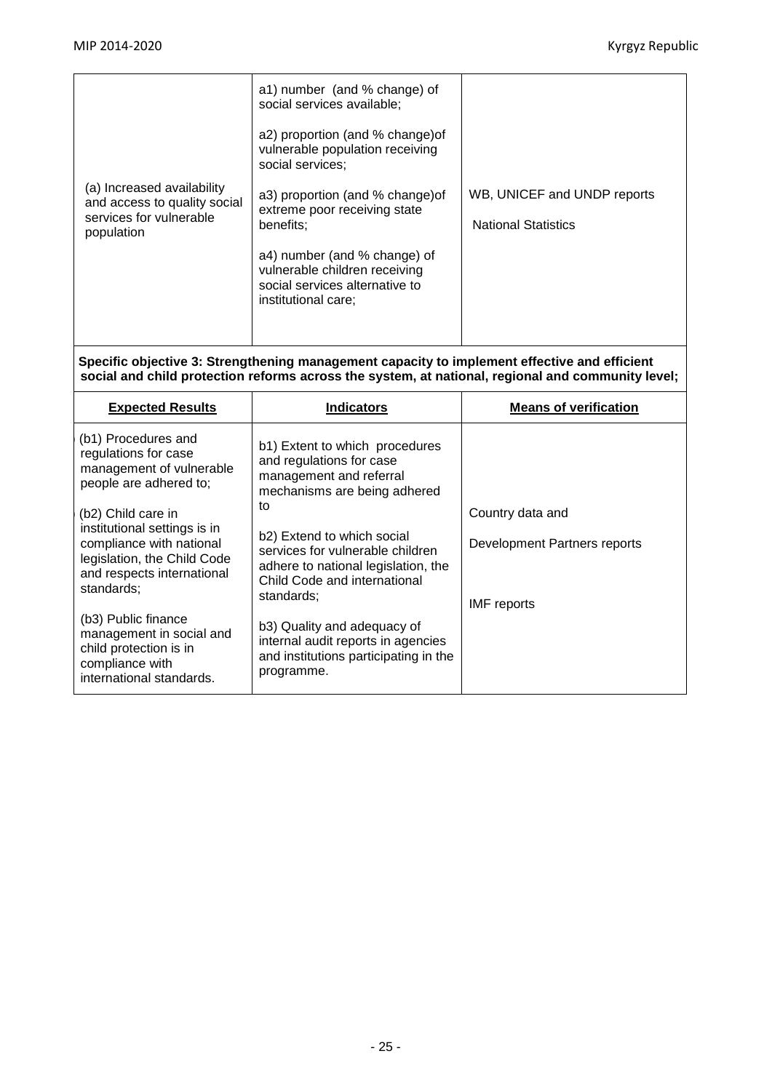|                                                                                                     | a1) number (and % change) of<br>social services available;                                                    |                                                           |
|-----------------------------------------------------------------------------------------------------|---------------------------------------------------------------------------------------------------------------|-----------------------------------------------------------|
|                                                                                                     | a2) proportion (and % change) of<br>vulnerable population receiving<br>social services;                       |                                                           |
| (a) Increased availability<br>and access to quality social<br>services for vulnerable<br>population | a3) proportion (and % change) of<br>extreme poor receiving state<br>benefits;<br>a4) number (and % change) of | WB, UNICEF and UNDP reports<br><b>National Statistics</b> |
|                                                                                                     | vulnerable children receiving<br>social services alternative to<br>institutional care;                        |                                                           |

**Specific objective 3: Strengthening management capacity to implement effective and efficient social and child protection reforms across the system, at national, regional and community level;**

| <b>Expected Results</b>                                                                                                             | <b>Indicators</b>                                                                                                                                                | <b>Means of verification</b> |
|-------------------------------------------------------------------------------------------------------------------------------------|------------------------------------------------------------------------------------------------------------------------------------------------------------------|------------------------------|
| (b1) Procedures and<br>regulations for case<br>management of vulnerable<br>people are adhered to;                                   | b1) Extent to which procedures<br>and regulations for case<br>management and referral<br>mechanisms are being adhered                                            |                              |
| (b2) Child care in                                                                                                                  | to                                                                                                                                                               | Country data and             |
| institutional settings is in<br>compliance with national<br>legislation, the Child Code<br>and respects international<br>standards: | b <sub>2</sub> ) Extend to which social<br>services for vulnerable children<br>adhere to national legislation, the<br>Child Code and international<br>standards: | Development Partners reports |
| (b3) Public finance<br>management in social and<br>child protection is in<br>compliance with<br>international standards.            | b3) Quality and adequacy of<br>internal audit reports in agencies<br>and institutions participating in the<br>programme.                                         | <b>IMF</b> reports           |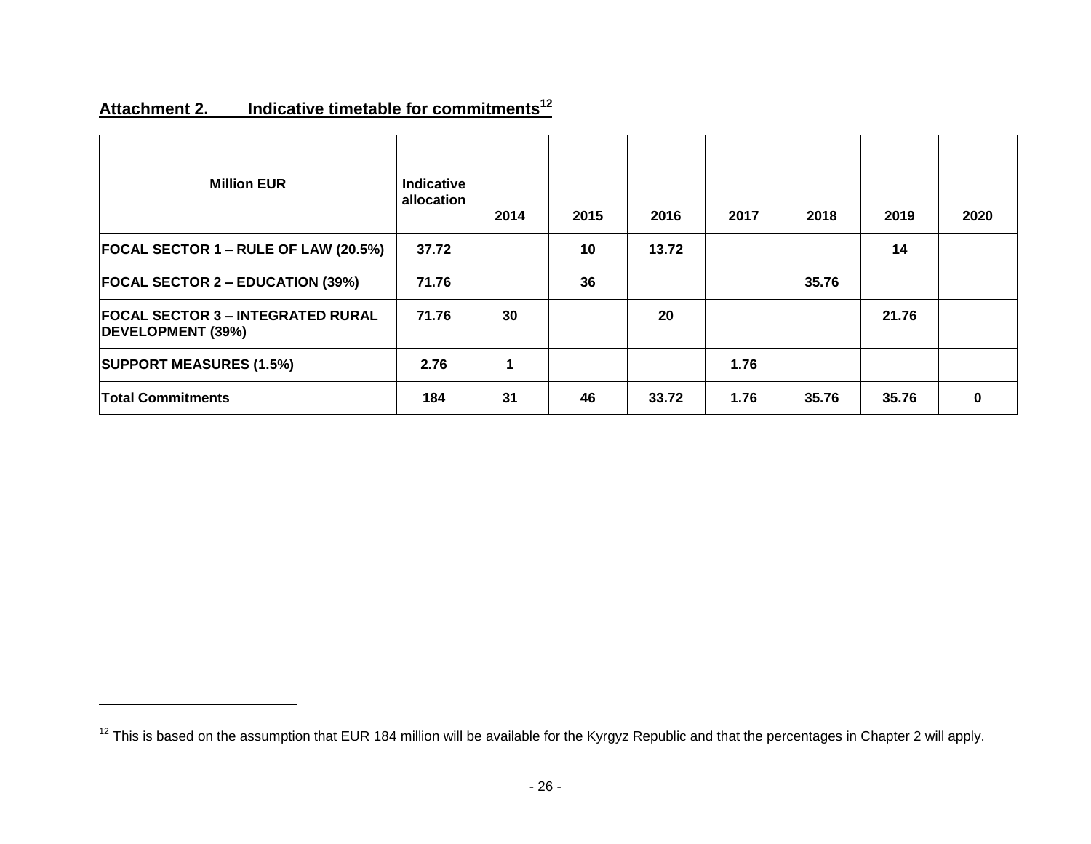# **Attachment 2. Indicative timetable for commitments<sup>12</sup>**

 $\overline{\phantom{a}}$ 

| <b>Million EUR</b>                                            | Indicative<br>allocation | 2014 | 2015 | 2016  | 2017 | 2018  | 2019  | 2020 |
|---------------------------------------------------------------|--------------------------|------|------|-------|------|-------|-------|------|
| $ FOCAL$ SECTOR 1 – RULE OF LAW (20.5%)                       | 37.72                    |      | 10   | 13.72 |      |       | 14    |      |
| <b>FOCAL SECTOR 2 – EDUCATION (39%)</b>                       | 71.76                    |      | 36   |       |      | 35.76 |       |      |
| <b>FOCAL SECTOR 3 - INTEGRATED RURAL</b><br>DEVELOPMENT (39%) | 71.76                    | 30   |      | 20    |      |       | 21.76 |      |
| <b>SUPPORT MEASURES (1.5%)</b>                                | 2.76                     | 1    |      |       | 1.76 |       |       |      |
| <b>Total Commitments</b>                                      | 184                      | 31   | 46   | 33.72 | 1.76 | 35.76 | 35.76 | 0    |

<sup>&</sup>lt;sup>12</sup> This is based on the assumption that EUR 184 million will be available for the Kyrgyz Republic and that the percentages in Chapter 2 will apply.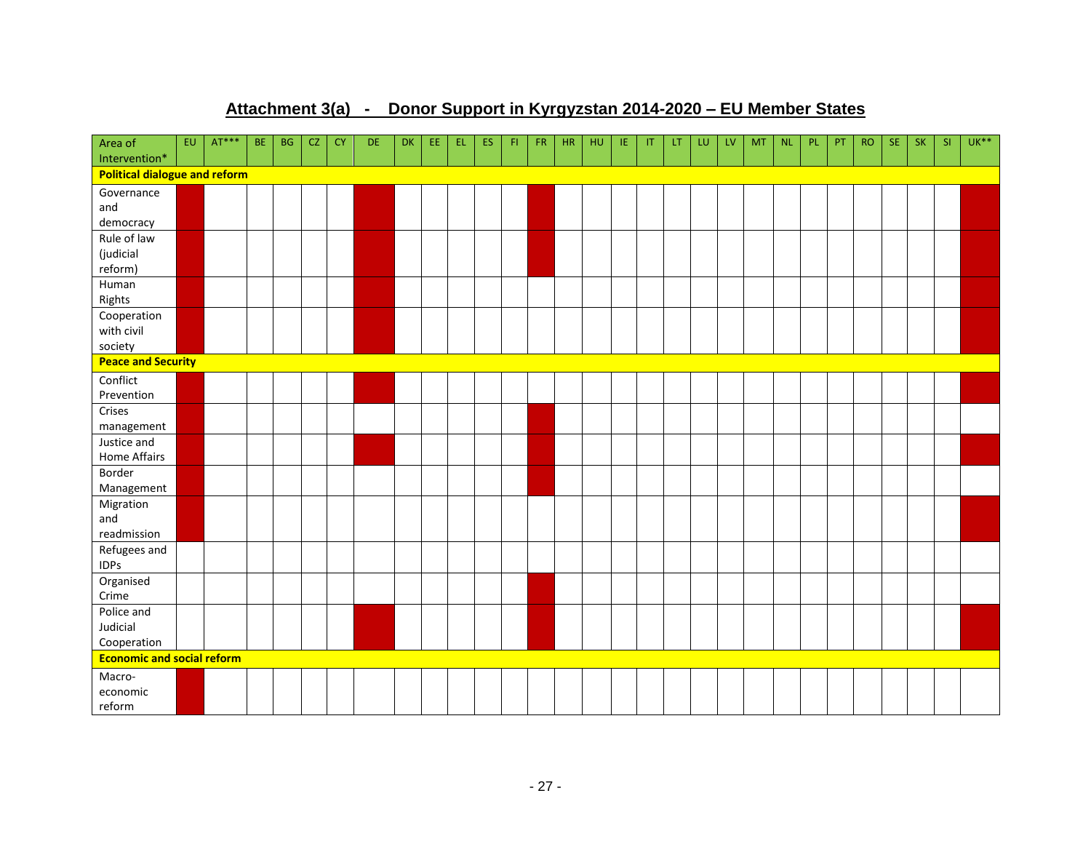# **Attachment 3(a) - Donor Support in Kyrgyzstan 2014-2020 – EU Member States**

| Area of<br>Intervention*                         | EU. | $AT***$ | BE. | <b>BG</b> | <b>CZ</b> | <b>CY</b> | DE. | <b>DK</b> | EE. | EL. | <b>ES</b> | FL. | <b>FR</b> | <b>HR</b> | <b>HU</b> | IE. | $\mathsf{I}$ | LT. | LU | LV | <b>MT</b> | <b>NL</b> | PL | PT | <b>RO</b> | <b>SE</b> | <b>SK</b> | <b>SI</b> | $UK***$ |
|--------------------------------------------------|-----|---------|-----|-----------|-----------|-----------|-----|-----------|-----|-----|-----------|-----|-----------|-----------|-----------|-----|--------------|-----|----|----|-----------|-----------|----|----|-----------|-----------|-----------|-----------|---------|
| <b>Political dialogue and reform</b>             |     |         |     |           |           |           |     |           |     |     |           |     |           |           |           |     |              |     |    |    |           |           |    |    |           |           |           |           |         |
| Governance                                       |     |         |     |           |           |           |     |           |     |     |           |     |           |           |           |     |              |     |    |    |           |           |    |    |           |           |           |           |         |
| and                                              |     |         |     |           |           |           |     |           |     |     |           |     |           |           |           |     |              |     |    |    |           |           |    |    |           |           |           |           |         |
| democracy                                        |     |         |     |           |           |           |     |           |     |     |           |     |           |           |           |     |              |     |    |    |           |           |    |    |           |           |           |           |         |
| Rule of law                                      |     |         |     |           |           |           |     |           |     |     |           |     |           |           |           |     |              |     |    |    |           |           |    |    |           |           |           |           |         |
| (judicial                                        |     |         |     |           |           |           |     |           |     |     |           |     |           |           |           |     |              |     |    |    |           |           |    |    |           |           |           |           |         |
| reform)                                          |     |         |     |           |           |           |     |           |     |     |           |     |           |           |           |     |              |     |    |    |           |           |    |    |           |           |           |           |         |
| Human                                            |     |         |     |           |           |           |     |           |     |     |           |     |           |           |           |     |              |     |    |    |           |           |    |    |           |           |           |           |         |
| Rights                                           |     |         |     |           |           |           |     |           |     |     |           |     |           |           |           |     |              |     |    |    |           |           |    |    |           |           |           |           |         |
| Cooperation                                      |     |         |     |           |           |           |     |           |     |     |           |     |           |           |           |     |              |     |    |    |           |           |    |    |           |           |           |           |         |
| with civil                                       |     |         |     |           |           |           |     |           |     |     |           |     |           |           |           |     |              |     |    |    |           |           |    |    |           |           |           |           |         |
| society                                          |     |         |     |           |           |           |     |           |     |     |           |     |           |           |           |     |              |     |    |    |           |           |    |    |           |           |           |           |         |
| <b>Peace and Security</b>                        |     |         |     |           |           |           |     |           |     |     |           |     |           |           |           |     |              |     |    |    |           |           |    |    |           |           |           |           |         |
| Conflict                                         |     |         |     |           |           |           |     |           |     |     |           |     |           |           |           |     |              |     |    |    |           |           |    |    |           |           |           |           |         |
| Prevention                                       |     |         |     |           |           |           |     |           |     |     |           |     |           |           |           |     |              |     |    |    |           |           |    |    |           |           |           |           |         |
| Crises                                           |     |         |     |           |           |           |     |           |     |     |           |     |           |           |           |     |              |     |    |    |           |           |    |    |           |           |           |           |         |
| management                                       |     |         |     |           |           |           |     |           |     |     |           |     |           |           |           |     |              |     |    |    |           |           |    |    |           |           |           |           |         |
| Justice and                                      |     |         |     |           |           |           |     |           |     |     |           |     |           |           |           |     |              |     |    |    |           |           |    |    |           |           |           |           |         |
| Home Affairs                                     |     |         |     |           |           |           |     |           |     |     |           |     |           |           |           |     |              |     |    |    |           |           |    |    |           |           |           |           |         |
| Border                                           |     |         |     |           |           |           |     |           |     |     |           |     |           |           |           |     |              |     |    |    |           |           |    |    |           |           |           |           |         |
| Management                                       |     |         |     |           |           |           |     |           |     |     |           |     |           |           |           |     |              |     |    |    |           |           |    |    |           |           |           |           |         |
| Migration                                        |     |         |     |           |           |           |     |           |     |     |           |     |           |           |           |     |              |     |    |    |           |           |    |    |           |           |           |           |         |
| and                                              |     |         |     |           |           |           |     |           |     |     |           |     |           |           |           |     |              |     |    |    |           |           |    |    |           |           |           |           |         |
| readmission                                      |     |         |     |           |           |           |     |           |     |     |           |     |           |           |           |     |              |     |    |    |           |           |    |    |           |           |           |           |         |
| Refugees and                                     |     |         |     |           |           |           |     |           |     |     |           |     |           |           |           |     |              |     |    |    |           |           |    |    |           |           |           |           |         |
| <b>IDPs</b>                                      |     |         |     |           |           |           |     |           |     |     |           |     |           |           |           |     |              |     |    |    |           |           |    |    |           |           |           |           |         |
| Organised                                        |     |         |     |           |           |           |     |           |     |     |           |     |           |           |           |     |              |     |    |    |           |           |    |    |           |           |           |           |         |
| Crime                                            |     |         |     |           |           |           |     |           |     |     |           |     |           |           |           |     |              |     |    |    |           |           |    |    |           |           |           |           |         |
| Police and                                       |     |         |     |           |           |           |     |           |     |     |           |     |           |           |           |     |              |     |    |    |           |           |    |    |           |           |           |           |         |
| Judicial                                         |     |         |     |           |           |           |     |           |     |     |           |     |           |           |           |     |              |     |    |    |           |           |    |    |           |           |           |           |         |
| Cooperation<br><b>Economic and social reform</b> |     |         |     |           |           |           |     |           |     |     |           |     |           |           |           |     |              |     |    |    |           |           |    |    |           |           |           |           |         |
|                                                  |     |         |     |           |           |           |     |           |     |     |           |     |           |           |           |     |              |     |    |    |           |           |    |    |           |           |           |           |         |
| Macro-                                           |     |         |     |           |           |           |     |           |     |     |           |     |           |           |           |     |              |     |    |    |           |           |    |    |           |           |           |           |         |
| economic                                         |     |         |     |           |           |           |     |           |     |     |           |     |           |           |           |     |              |     |    |    |           |           |    |    |           |           |           |           |         |
| reform                                           |     |         |     |           |           |           |     |           |     |     |           |     |           |           |           |     |              |     |    |    |           |           |    |    |           |           |           |           |         |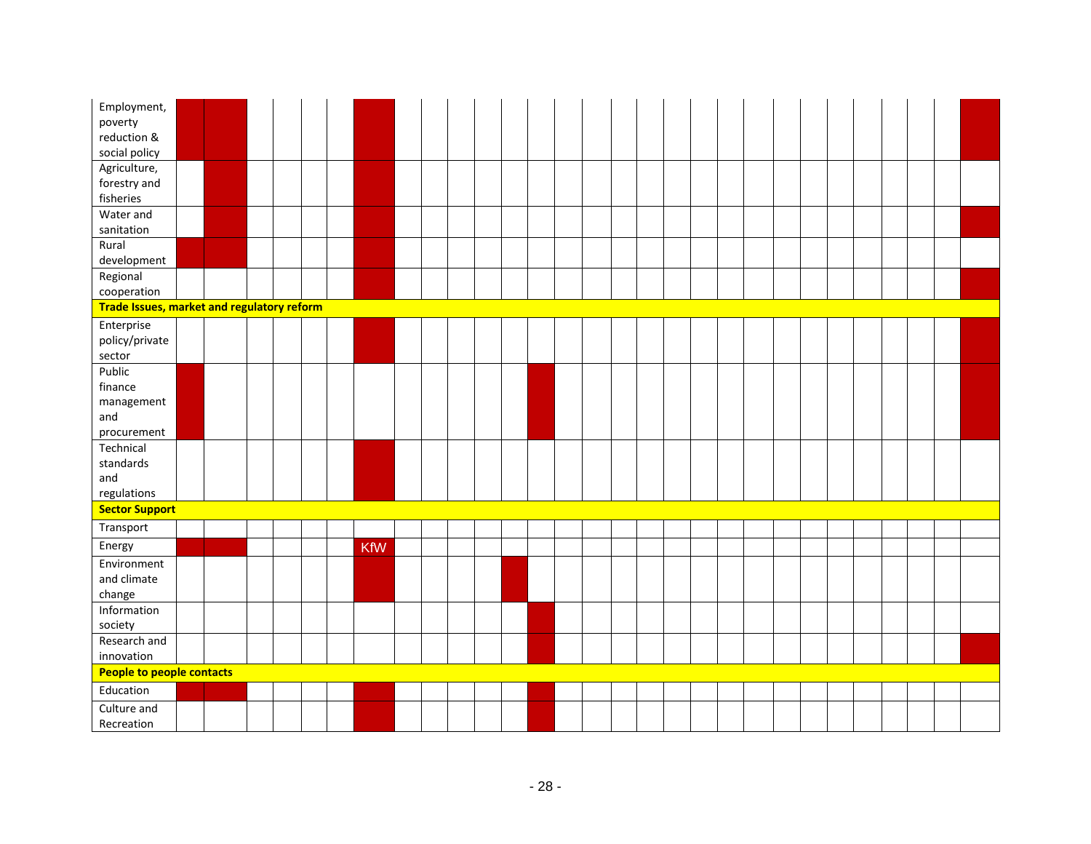| Employment,                                       |  |  |  |            |  |  |  |  |  |  |  |  |  |  |  |
|---------------------------------------------------|--|--|--|------------|--|--|--|--|--|--|--|--|--|--|--|
| poverty                                           |  |  |  |            |  |  |  |  |  |  |  |  |  |  |  |
| reduction &                                       |  |  |  |            |  |  |  |  |  |  |  |  |  |  |  |
| social policy                                     |  |  |  |            |  |  |  |  |  |  |  |  |  |  |  |
| Agriculture,                                      |  |  |  |            |  |  |  |  |  |  |  |  |  |  |  |
| forestry and                                      |  |  |  |            |  |  |  |  |  |  |  |  |  |  |  |
| fisheries                                         |  |  |  |            |  |  |  |  |  |  |  |  |  |  |  |
| Water and                                         |  |  |  |            |  |  |  |  |  |  |  |  |  |  |  |
| sanitation                                        |  |  |  |            |  |  |  |  |  |  |  |  |  |  |  |
| Rural                                             |  |  |  |            |  |  |  |  |  |  |  |  |  |  |  |
| development                                       |  |  |  |            |  |  |  |  |  |  |  |  |  |  |  |
| Regional                                          |  |  |  |            |  |  |  |  |  |  |  |  |  |  |  |
| cooperation                                       |  |  |  |            |  |  |  |  |  |  |  |  |  |  |  |
| <b>Trade Issues, market and regulatory reform</b> |  |  |  |            |  |  |  |  |  |  |  |  |  |  |  |
| Enterprise                                        |  |  |  |            |  |  |  |  |  |  |  |  |  |  |  |
| policy/private                                    |  |  |  |            |  |  |  |  |  |  |  |  |  |  |  |
| sector                                            |  |  |  |            |  |  |  |  |  |  |  |  |  |  |  |
| Public                                            |  |  |  |            |  |  |  |  |  |  |  |  |  |  |  |
| finance                                           |  |  |  |            |  |  |  |  |  |  |  |  |  |  |  |
| management                                        |  |  |  |            |  |  |  |  |  |  |  |  |  |  |  |
| and                                               |  |  |  |            |  |  |  |  |  |  |  |  |  |  |  |
| procurement                                       |  |  |  |            |  |  |  |  |  |  |  |  |  |  |  |
| Technical                                         |  |  |  |            |  |  |  |  |  |  |  |  |  |  |  |
| standards                                         |  |  |  |            |  |  |  |  |  |  |  |  |  |  |  |
| and                                               |  |  |  |            |  |  |  |  |  |  |  |  |  |  |  |
| regulations                                       |  |  |  |            |  |  |  |  |  |  |  |  |  |  |  |
| <b>Sector Support</b>                             |  |  |  |            |  |  |  |  |  |  |  |  |  |  |  |
| Transport                                         |  |  |  |            |  |  |  |  |  |  |  |  |  |  |  |
| Energy                                            |  |  |  | <b>KfW</b> |  |  |  |  |  |  |  |  |  |  |  |
| Environment                                       |  |  |  |            |  |  |  |  |  |  |  |  |  |  |  |
| and climate                                       |  |  |  |            |  |  |  |  |  |  |  |  |  |  |  |
| change                                            |  |  |  |            |  |  |  |  |  |  |  |  |  |  |  |
| Information                                       |  |  |  |            |  |  |  |  |  |  |  |  |  |  |  |
| society                                           |  |  |  |            |  |  |  |  |  |  |  |  |  |  |  |
| Research and                                      |  |  |  |            |  |  |  |  |  |  |  |  |  |  |  |
| innovation                                        |  |  |  |            |  |  |  |  |  |  |  |  |  |  |  |
| People to people contacts                         |  |  |  |            |  |  |  |  |  |  |  |  |  |  |  |
| Education                                         |  |  |  |            |  |  |  |  |  |  |  |  |  |  |  |
| Culture and                                       |  |  |  |            |  |  |  |  |  |  |  |  |  |  |  |
| Recreation                                        |  |  |  |            |  |  |  |  |  |  |  |  |  |  |  |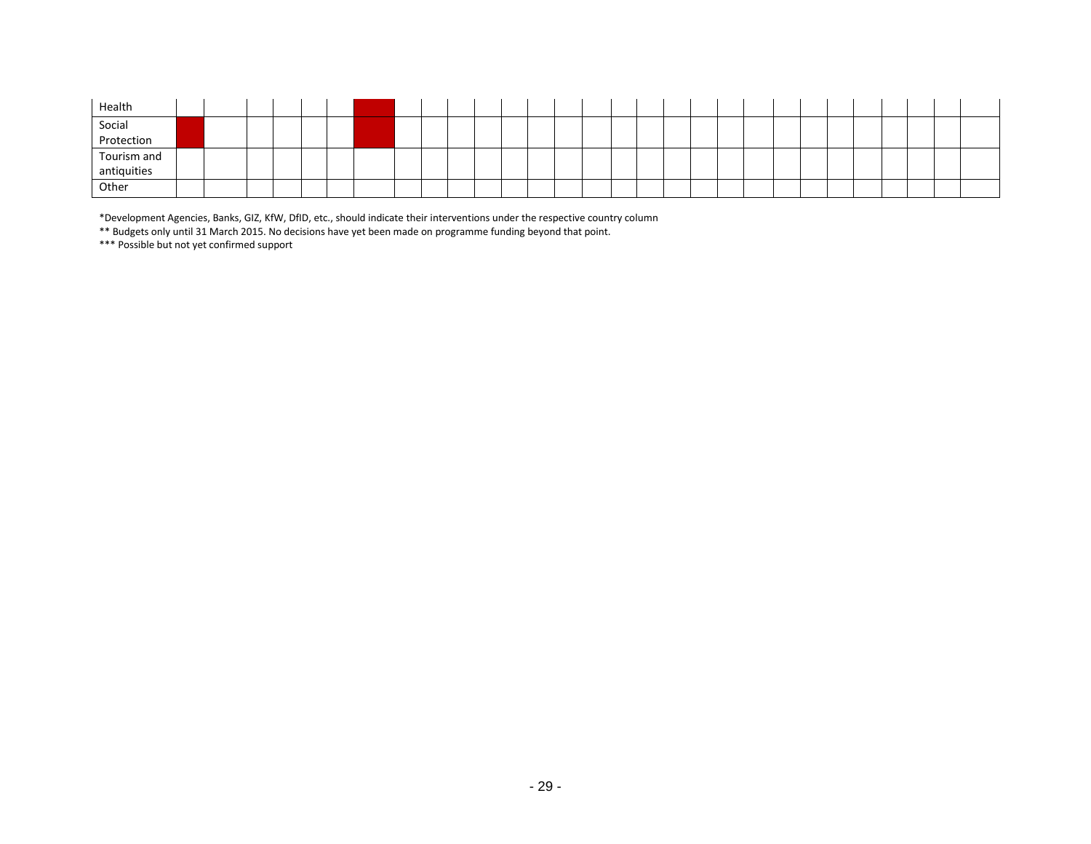| Health               |  |  |  |  |  |  |  |  |  |  |  |  |  |  |  |
|----------------------|--|--|--|--|--|--|--|--|--|--|--|--|--|--|--|
| Social<br>Protection |  |  |  |  |  |  |  |  |  |  |  |  |  |  |  |
|                      |  |  |  |  |  |  |  |  |  |  |  |  |  |  |  |
| Tourism and          |  |  |  |  |  |  |  |  |  |  |  |  |  |  |  |
| antiquities          |  |  |  |  |  |  |  |  |  |  |  |  |  |  |  |
| Other                |  |  |  |  |  |  |  |  |  |  |  |  |  |  |  |

\*Development Agencies, Banks, GIZ, KfW, DfID, etc., should indicate their interventions under the respective country column

\*\* Budgets only until 31 March 2015. No decisions have yet been made on programme funding beyond that point.

\*\*\* Possible but not yet confirmed support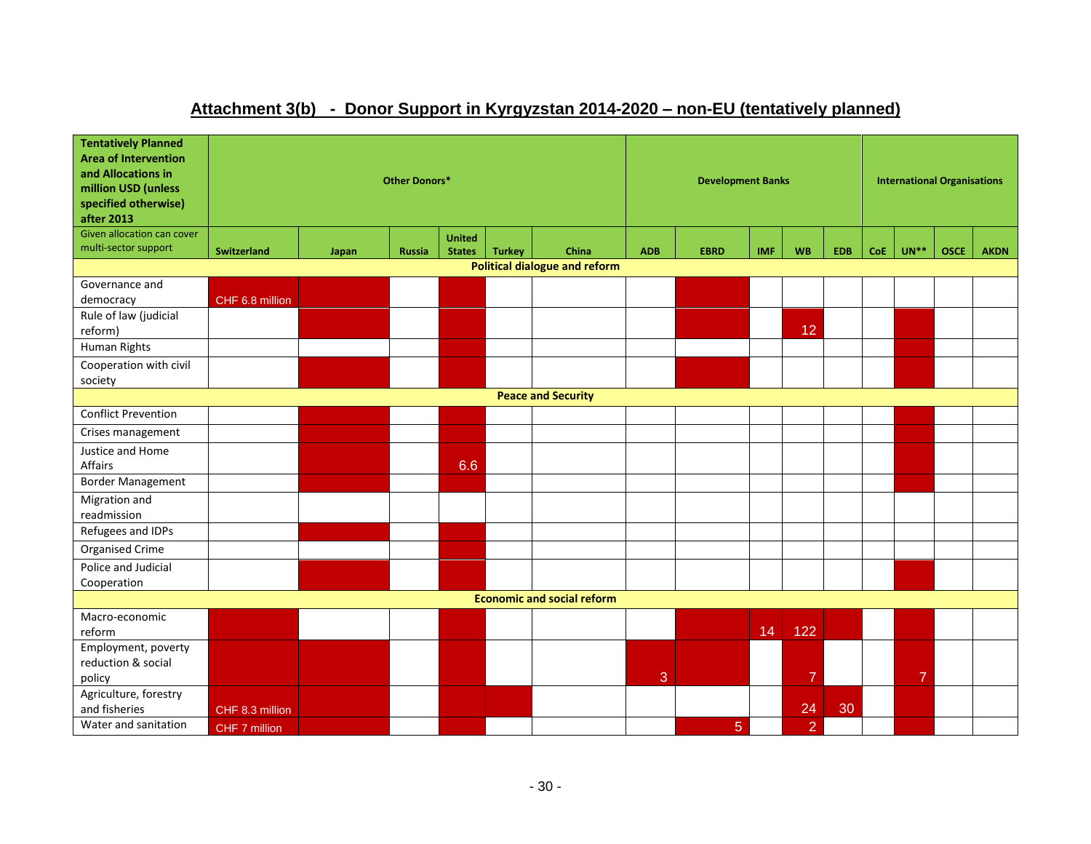# **Attachment 3(b) - Donor Support in Kyrgyzstan 2014-2020 – non-EU (tentatively planned)**

| <b>Tentatively Planned</b><br><b>Area of Intervention</b><br>and Allocations in<br>million USD (unless<br>specified otherwise)<br>after 2013 |                    |       | Other Donors* |                                |               |                                      |            | <b>Development Banks</b> |            |                |            |            | <b>International Organisations</b> |             |             |
|----------------------------------------------------------------------------------------------------------------------------------------------|--------------------|-------|---------------|--------------------------------|---------------|--------------------------------------|------------|--------------------------|------------|----------------|------------|------------|------------------------------------|-------------|-------------|
| Given allocation can cover<br>multi-sector support                                                                                           | <b>Switzerland</b> | Japan | <b>Russia</b> | <b>United</b><br><b>States</b> | <b>Turkey</b> | China                                | <b>ADB</b> | <b>EBRD</b>              | <b>IMF</b> | <b>WB</b>      | <b>EDB</b> | <b>CoE</b> | $UN**$                             | <b>OSCE</b> | <b>AKDN</b> |
|                                                                                                                                              |                    |       |               |                                |               | <b>Political dialogue and reform</b> |            |                          |            |                |            |            |                                    |             |             |
| Governance and                                                                                                                               |                    |       |               |                                |               |                                      |            |                          |            |                |            |            |                                    |             |             |
| democracy                                                                                                                                    | CHF 6.8 million    |       |               |                                |               |                                      |            |                          |            |                |            |            |                                    |             |             |
| Rule of law (judicial                                                                                                                        |                    |       |               |                                |               |                                      |            |                          |            |                |            |            |                                    |             |             |
| reform)                                                                                                                                      |                    |       |               |                                |               |                                      |            |                          |            | 12             |            |            |                                    |             |             |
| Human Rights                                                                                                                                 |                    |       |               |                                |               |                                      |            |                          |            |                |            |            |                                    |             |             |
| Cooperation with civil                                                                                                                       |                    |       |               |                                |               |                                      |            |                          |            |                |            |            |                                    |             |             |
| society                                                                                                                                      |                    |       |               |                                |               |                                      |            |                          |            |                |            |            |                                    |             |             |
|                                                                                                                                              |                    |       |               |                                |               | <b>Peace and Security</b>            |            |                          |            |                |            |            |                                    |             |             |
| <b>Conflict Prevention</b>                                                                                                                   |                    |       |               |                                |               |                                      |            |                          |            |                |            |            |                                    |             |             |
| Crises management                                                                                                                            |                    |       |               |                                |               |                                      |            |                          |            |                |            |            |                                    |             |             |
| Justice and Home<br><b>Affairs</b>                                                                                                           |                    |       |               | 6.6                            |               |                                      |            |                          |            |                |            |            |                                    |             |             |
| <b>Border Management</b>                                                                                                                     |                    |       |               |                                |               |                                      |            |                          |            |                |            |            |                                    |             |             |
| Migration and                                                                                                                                |                    |       |               |                                |               |                                      |            |                          |            |                |            |            |                                    |             |             |
| readmission                                                                                                                                  |                    |       |               |                                |               |                                      |            |                          |            |                |            |            |                                    |             |             |
| Refugees and IDPs                                                                                                                            |                    |       |               |                                |               |                                      |            |                          |            |                |            |            |                                    |             |             |
| Organised Crime                                                                                                                              |                    |       |               |                                |               |                                      |            |                          |            |                |            |            |                                    |             |             |
| Police and Judicial                                                                                                                          |                    |       |               |                                |               |                                      |            |                          |            |                |            |            |                                    |             |             |
| Cooperation                                                                                                                                  |                    |       |               |                                |               |                                      |            |                          |            |                |            |            |                                    |             |             |
|                                                                                                                                              |                    |       |               |                                |               | <b>Economic and social reform</b>    |            |                          |            |                |            |            |                                    |             |             |
| Macro-economic                                                                                                                               |                    |       |               |                                |               |                                      |            |                          |            |                |            |            |                                    |             |             |
| reform                                                                                                                                       |                    |       |               |                                |               |                                      |            |                          | 14         | 122            |            |            |                                    |             |             |
| Employment, poverty                                                                                                                          |                    |       |               |                                |               |                                      |            |                          |            |                |            |            |                                    |             |             |
| reduction & social                                                                                                                           |                    |       |               |                                |               |                                      |            |                          |            |                |            |            |                                    |             |             |
| policy                                                                                                                                       |                    |       |               |                                |               |                                      | 3          |                          |            | $\overline{7}$ |            |            | $\overline{7}$                     |             |             |
| Agriculture, forestry<br>and fisheries                                                                                                       | CHF 8.3 million    |       |               |                                |               |                                      |            |                          |            | 24             | 30         |            |                                    |             |             |
| Water and sanitation                                                                                                                         |                    |       |               |                                |               |                                      |            |                          |            |                |            |            |                                    |             |             |
|                                                                                                                                              | CHF 7 million      |       |               |                                |               |                                      |            | 5                        |            | $\overline{2}$ |            |            |                                    |             |             |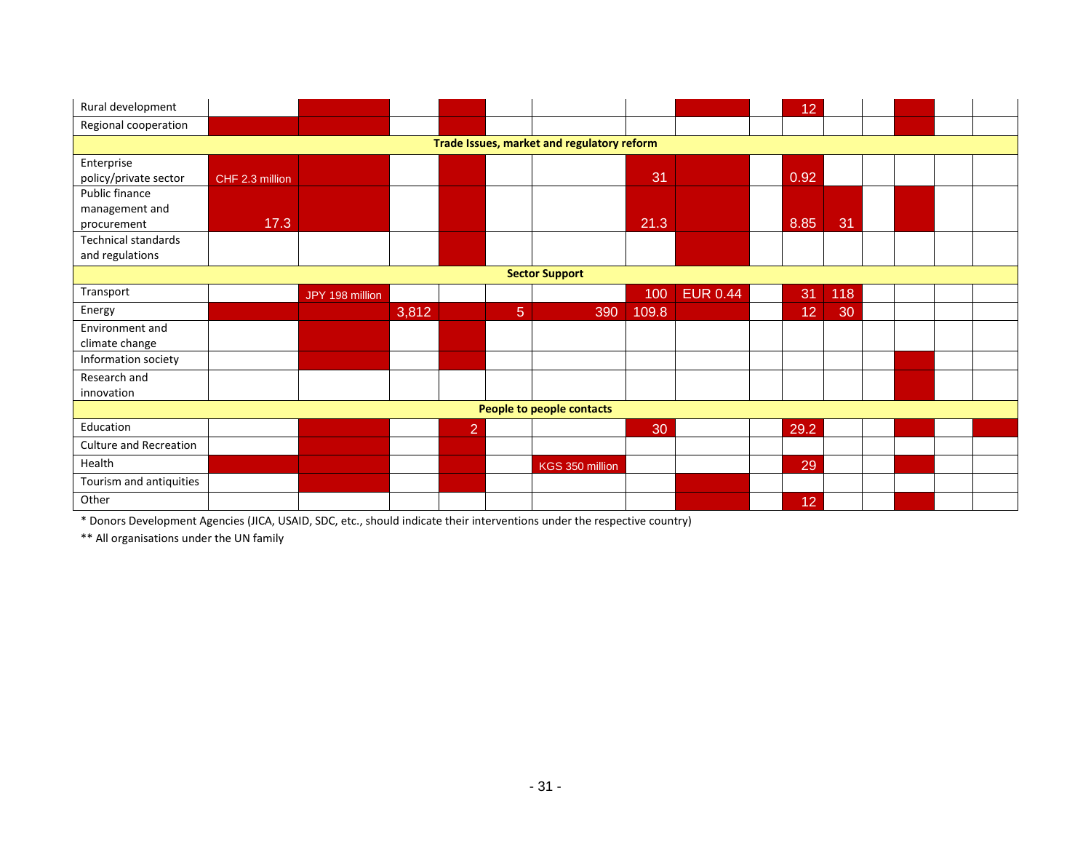| Rural development             |                 |                 |       |                |                |                                            |       |                 | 12   |     |  |  |
|-------------------------------|-----------------|-----------------|-------|----------------|----------------|--------------------------------------------|-------|-----------------|------|-----|--|--|
| Regional cooperation          |                 |                 |       |                |                |                                            |       |                 |      |     |  |  |
|                               |                 |                 |       |                |                | Trade Issues, market and regulatory reform |       |                 |      |     |  |  |
| Enterprise                    |                 |                 |       |                |                |                                            |       |                 |      |     |  |  |
| policy/private sector         | CHF 2.3 million |                 |       |                |                |                                            | 31    |                 | 0.92 |     |  |  |
| Public finance                |                 |                 |       |                |                |                                            |       |                 |      |     |  |  |
| management and                |                 |                 |       |                |                |                                            |       |                 |      |     |  |  |
| procurement                   | 17.3            |                 |       |                |                |                                            | 21.3  |                 | 8.85 | 31  |  |  |
| Technical standards           |                 |                 |       |                |                |                                            |       |                 |      |     |  |  |
| and regulations               |                 |                 |       |                |                |                                            |       |                 |      |     |  |  |
|                               |                 |                 |       |                |                | <b>Sector Support</b>                      |       |                 |      |     |  |  |
| Transport                     |                 | JPY 198 million |       |                |                |                                            | 100   | <b>EUR 0.44</b> | 31   | 118 |  |  |
| Energy                        |                 |                 | 3,812 |                | $\overline{5}$ | 390                                        | 109.8 |                 | 12   | 30  |  |  |
| Environment and               |                 |                 |       |                |                |                                            |       |                 |      |     |  |  |
| climate change                |                 |                 |       |                |                |                                            |       |                 |      |     |  |  |
| Information society           |                 |                 |       |                |                |                                            |       |                 |      |     |  |  |
| Research and                  |                 |                 |       |                |                |                                            |       |                 |      |     |  |  |
| innovation                    |                 |                 |       |                |                |                                            |       |                 |      |     |  |  |
|                               |                 |                 |       |                |                | People to people contacts                  |       |                 |      |     |  |  |
| Education                     |                 |                 |       | $\overline{2}$ |                |                                            | 30    |                 | 29.2 |     |  |  |
| <b>Culture and Recreation</b> |                 |                 |       |                |                |                                            |       |                 |      |     |  |  |
| Health                        |                 |                 |       |                |                | KGS 350 million                            |       |                 | 29   |     |  |  |
| Tourism and antiquities       |                 |                 |       |                |                |                                            |       |                 |      |     |  |  |
|                               |                 |                 |       |                |                |                                            |       |                 |      |     |  |  |

\* Donors Development Agencies (JICA, USAID, SDC, etc., should indicate their interventions under the respective country)

\*\* All organisations under the UN family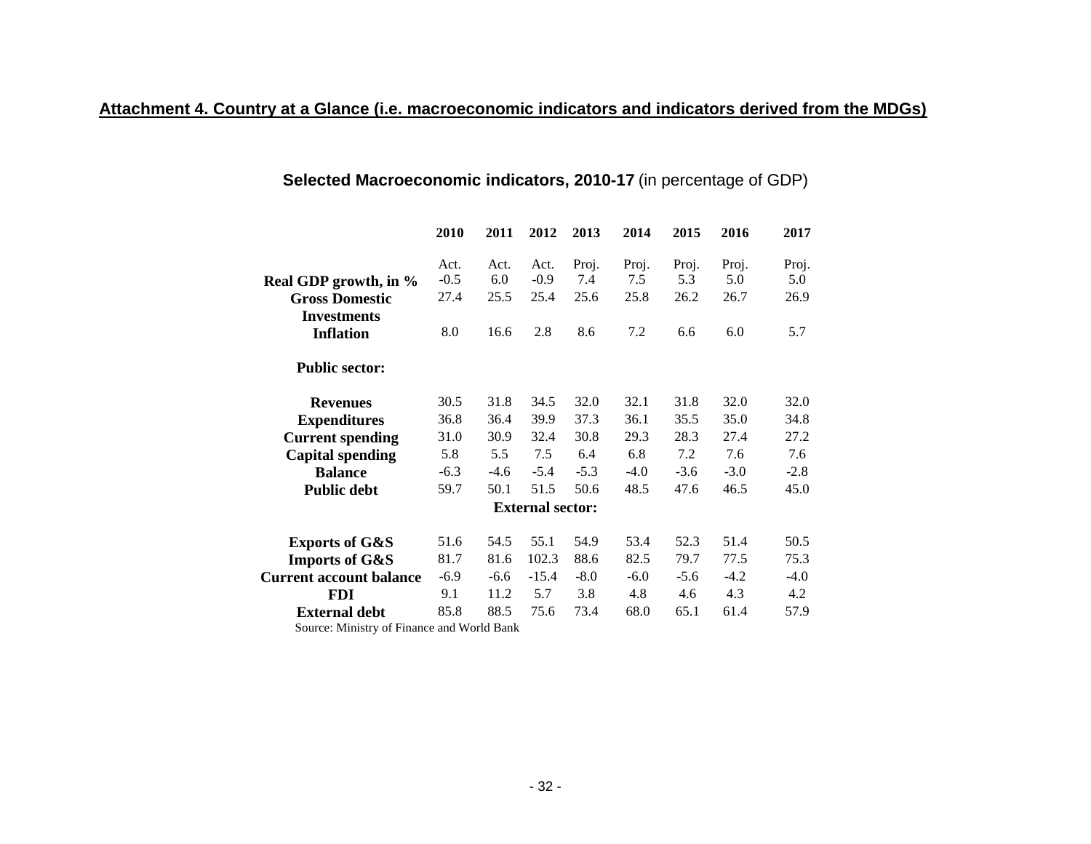# **Selected Macroeconomic indicators, 2010-17** (in percentage of GDP)

|                                            | 2010           | 2011        | 2012                    | 2013         | 2014         | 2015         | 2016         | 2017         |
|--------------------------------------------|----------------|-------------|-------------------------|--------------|--------------|--------------|--------------|--------------|
| Real GDP growth, in %                      | Act.<br>$-0.5$ | Act.<br>6.0 | Act.<br>$-0.9$          | Proj.<br>7.4 | Proj.<br>7.5 | Proj.<br>5.3 | Proj.<br>5.0 | Proj.<br>5.0 |
| <b>Gross Domestic</b>                      | 27.4           | 25.5        | 25.4                    | 25.6         | 25.8         | 26.2         | 26.7         | 26.9         |
| <b>Investments</b>                         |                |             |                         |              |              |              |              |              |
| <b>Inflation</b>                           | 8.0            | 16.6        | 2.8                     | 8.6          | 7.2          | 6.6          | 6.0          | 5.7          |
| <b>Public sector:</b>                      |                |             |                         |              |              |              |              |              |
| <b>Revenues</b>                            | 30.5           | 31.8        | 34.5                    | 32.0         | 32.1         | 31.8         | 32.0         | 32.0         |
| <b>Expenditures</b>                        | 36.8           | 36.4        | 39.9                    | 37.3         | 36.1         | 35.5         | 35.0         | 34.8         |
| <b>Current spending</b>                    | 31.0           | 30.9        | 32.4                    | 30.8         | 29.3         | 28.3         | 27.4         | 27.2         |
| <b>Capital spending</b>                    | 5.8            | 5.5         | 7.5                     | 6.4          | 6.8          | 7.2          | 7.6          | 7.6          |
| <b>Balance</b>                             | $-6.3$         | $-4.6$      | $-5.4$                  | $-5.3$       | $-4.0$       | $-3.6$       | $-3.0$       | $-2.8$       |
| <b>Public debt</b>                         | 59.7           | 50.1        | 51.5                    | 50.6         | 48.5         | 47.6         | 46.5         | 45.0         |
|                                            |                |             | <b>External sector:</b> |              |              |              |              |              |
| <b>Exports of G&amp;S</b>                  | 51.6           | 54.5        | 55.1                    | 54.9         | 53.4         | 52.3         | 51.4         | 50.5         |
| <b>Imports of G&amp;S</b>                  | 81.7           | 81.6        | 102.3                   | 88.6         | 82.5         | 79.7         | 77.5         | 75.3         |
| <b>Current account balance</b>             | $-6.9$         | $-6.6$      | $-15.4$                 | $-8.0$       | $-6.0$       | $-5.6$       | $-4.2$       | $-4.0$       |
| <b>FDI</b>                                 | 9.1            | 11.2        | 5.7                     | 3.8          | 4.8          | 4.6          | 4.3          | 4.2          |
| <b>External debt</b>                       | 85.8           | 88.5        | 75.6                    | 73.4         | 68.0         | 65.1         | 61.4         | 57.9         |
| Source: Ministry of Finance and World Bank |                |             |                         |              |              |              |              |              |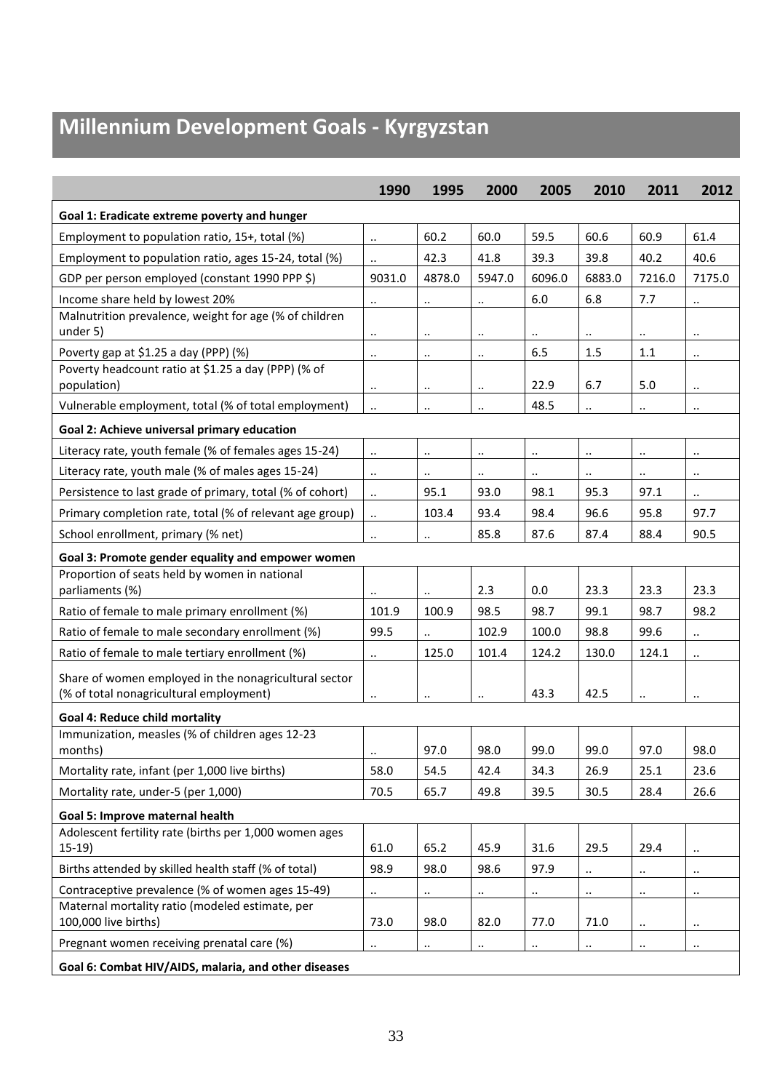# **Millennium Development Goals - Kyrgyzstan**

|                                                                                                  | 1990                 | 1995                 | 2000                 | 2005                 | 2010                 | 2011                 | 2012                 |
|--------------------------------------------------------------------------------------------------|----------------------|----------------------|----------------------|----------------------|----------------------|----------------------|----------------------|
| Goal 1: Eradicate extreme poverty and hunger                                                     |                      |                      |                      |                      |                      |                      |                      |
| Employment to population ratio, 15+, total (%)                                                   | $\ldots$             | 60.2                 | 60.0                 | 59.5                 | 60.6                 | 60.9                 | 61.4                 |
| Employment to population ratio, ages 15-24, total (%)                                            | $\ddot{\phantom{a}}$ | 42.3                 | 41.8                 | 39.3                 | 39.8                 | 40.2                 | 40.6                 |
| GDP per person employed (constant 1990 PPP \$)                                                   | 9031.0               | 4878.0               | 5947.0               | 6096.0               | 6883.0               | 7216.0               | 7175.0               |
| Income share held by lowest 20%                                                                  | $\cdot$ .            | $\ldots$             | $\ddotsc$            | 6.0                  | 6.8                  | 7.7                  | $\ddotsc$            |
| Malnutrition prevalence, weight for age (% of children<br>under 5)                               | $\cdot$ .            | $\ddotsc$            | $\ddot{\phantom{a}}$ | $\ddot{\phantom{a}}$ |                      | $\ddotsc$            | $\ldots$             |
| Poverty gap at \$1.25 a day (PPP) (%)                                                            | $\ddotsc$            | $\ddotsc$            | $\ddotsc$            | 6.5                  | 1.5                  | 1.1                  | $\ldots$             |
| Poverty headcount ratio at \$1.25 a day (PPP) (% of<br>population)                               | $\ldots$             | $\ddotsc$            | $\ddot{\phantom{a}}$ | 22.9                 | 6.7                  | 5.0                  | $\ldots$             |
| Vulnerable employment, total (% of total employment)                                             | Ω.                   | $\ldots$             | $\ddot{\phantom{a}}$ | 48.5                 | $\ddot{\phantom{a}}$ | $\ldots$             | $\ldots$             |
| Goal 2: Achieve universal primary education                                                      |                      |                      |                      |                      |                      |                      |                      |
| Literacy rate, youth female (% of females ages 15-24)                                            | $\ddotsc$            | $\ddot{\phantom{1}}$ | $\ddotsc$            | $\cdot$ .            | $\ddotsc$            | $\ldots$             | $\cdot\cdot$         |
| Literacy rate, youth male (% of males ages 15-24)                                                | $\ldots$             | $\ddot{\phantom{1}}$ | $\ddot{\phantom{a}}$ | $\ddotsc$            | $\ddot{\phantom{a}}$ | $\ddotsc$            | $\ldots$             |
| Persistence to last grade of primary, total (% of cohort)                                        | Ω.                   | 95.1                 | 93.0                 | 98.1                 | 95.3                 | 97.1                 | $\ddotsc$            |
| Primary completion rate, total (% of relevant age group)                                         | $\ddot{\phantom{a}}$ | 103.4                | 93.4                 | 98.4                 | 96.6                 | 95.8                 | 97.7                 |
| School enrollment, primary (% net)                                                               | $\ldots$             | $\ddotsc$            | 85.8                 | 87.6                 | 87.4                 | 88.4                 | 90.5                 |
| Goal 3: Promote gender equality and empower women                                                |                      |                      |                      |                      |                      |                      |                      |
| Proportion of seats held by women in national                                                    |                      |                      |                      |                      |                      |                      |                      |
| parliaments (%)                                                                                  |                      |                      | 2.3                  | 0.0                  | 23.3                 | 23.3                 | 23.3                 |
| Ratio of female to male primary enrollment (%)                                                   | 101.9                | 100.9                | 98.5                 | 98.7                 | 99.1                 | 98.7                 | 98.2                 |
| Ratio of female to male secondary enrollment (%)                                                 | 99.5                 | $\ddot{\phantom{0}}$ | 102.9                | 100.0                | 98.8                 | 99.6                 | $\ldots$             |
| Ratio of female to male tertiary enrollment (%)                                                  | $\ddots$             | 125.0                | 101.4                | 124.2                | 130.0                | 124.1                | $\ldots$             |
| Share of women employed in the nonagricultural sector<br>(% of total nonagricultural employment) | $\cdot$ .            | $\ddot{\phantom{a}}$ | $\ddot{\phantom{a}}$ | 43.3                 | 42.5                 | $\ddot{\phantom{a}}$ | $\ddot{\phantom{0}}$ |
| <b>Goal 4: Reduce child mortality</b>                                                            |                      |                      |                      |                      |                      |                      |                      |
| Immunization, measles (% of children ages 12-23                                                  |                      |                      |                      |                      |                      |                      |                      |
| months)                                                                                          |                      | 97.0                 | 98.0                 | 99.0                 | 99.0                 | 97.0                 | 98.0                 |
| Mortality rate, infant (per 1,000 live births)                                                   | 58.0                 | 54.5                 | 42.4                 | 34.3                 | 26.9                 | 25.1                 | 23.6                 |
| Mortality rate, under-5 (per 1,000)                                                              | 70.5                 | 65.7                 | 49.8                 | 39.5                 | 30.5                 | 28.4                 | 26.6                 |
| Goal 5: Improve maternal health                                                                  |                      |                      |                      |                      |                      |                      |                      |
| Adolescent fertility rate (births per 1,000 women ages<br>$15-19)$                               | 61.0                 | 65.2                 | 45.9                 | 31.6                 | 29.5                 | 29.4                 |                      |
| Births attended by skilled health staff (% of total)                                             | 98.9                 | 98.0                 | 98.6                 | 97.9                 | .,                   | $\ddot{\phantom{1}}$ | $\ldots$             |
| Contraceptive prevalence (% of women ages 15-49)                                                 |                      | $\ddotsc$            | $\ddot{\phantom{0}}$ | $\ddot{\phantom{1}}$ |                      | $\ddotsc$            | $\ddotsc$            |
| Maternal mortality ratio (modeled estimate, per<br>100,000 live births)                          | 73.0                 | 98.0                 | 82.0                 | 77.0                 | 71.0                 | $\ddotsc$            | $\ddotsc$            |
| Pregnant women receiving prenatal care (%)                                                       |                      | $\ddot{\phantom{0}}$ | $\ldots$             | $\ddotsc$            | .,                   | $\ddot{\phantom{1}}$ | $\ddot{\phantom{1}}$ |
| Goal 6: Combat HIV/AIDS, malaria, and other diseases                                             |                      |                      |                      |                      |                      |                      |                      |